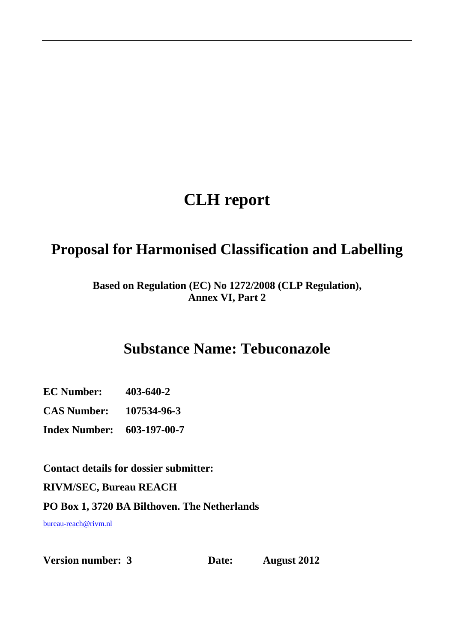## **CLH report**

### **Proposal for Harmonised Classification and Labelling**

#### **Based on Regulation (EC) No 1272/2008 (CLP Regulation), Annex VI, Part 2**

### **Substance Name: Tebuconazole**

**EC Number: 403-640-2** 

**CAS Number: 107534-96-3** 

**Index Number: 603-197-00-7** 

**Contact details for dossier submitter:** 

**RIVM/SEC, Bureau REACH** 

**PO Box 1, 3720 BA Bilthoven. The Netherlands** 

bureau-reach@rivm.nl

**Version number: 3** Date: August 2012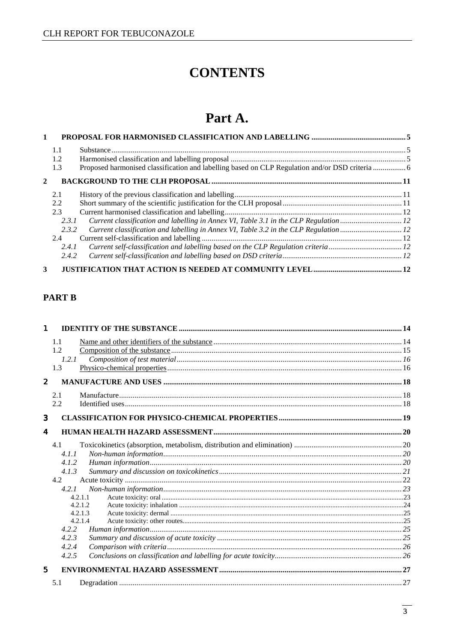### **CONTENTS**

### Part A.

| $\mathbf{1}$   |       |                                                                                       |  |
|----------------|-------|---------------------------------------------------------------------------------------|--|
|                | 1.1   |                                                                                       |  |
|                | 1.2   |                                                                                       |  |
|                | 1.3   |                                                                                       |  |
| $\mathbf{2}$   |       |                                                                                       |  |
|                | 2.1   |                                                                                       |  |
|                | 2.2   |                                                                                       |  |
|                | 2.3   |                                                                                       |  |
|                | 2.3.1 | Current classification and labelling in Annex VI, Table 3.1 in the CLP Regulation  12 |  |
|                | 2.3.2 |                                                                                       |  |
|                | 2.4   |                                                                                       |  |
|                | 2.4.1 | Current self-classification and labelling based on the CLP Regulation criteria12      |  |
|                | 2.4.2 |                                                                                       |  |
| 3 <sup>1</sup> |       |                                                                                       |  |

### **PART B**

| $\mathbf{1}$     |         |  |
|------------------|---------|--|
|                  | 1.1     |  |
|                  | 1.2     |  |
|                  | 1.2.1   |  |
|                  | 1.3     |  |
| $\mathbf{2}$     |         |  |
|                  | 2.1     |  |
|                  | 2.2     |  |
| 3                |         |  |
| $\boldsymbol{4}$ |         |  |
|                  | 4.1     |  |
|                  | 4.1.1   |  |
|                  | 4.1.2   |  |
|                  | 4.1.3   |  |
|                  | 4.2     |  |
|                  | 4.2.1   |  |
|                  | 4.2.1.1 |  |
|                  | 4.2.1.2 |  |
|                  | 4.2.1.3 |  |
|                  | 4.2.1.4 |  |
|                  | 4.2.2   |  |
|                  | 4.2.3   |  |
|                  | 4.2.4   |  |
|                  | 4.2.5   |  |
| 5                |         |  |
|                  | 5.1     |  |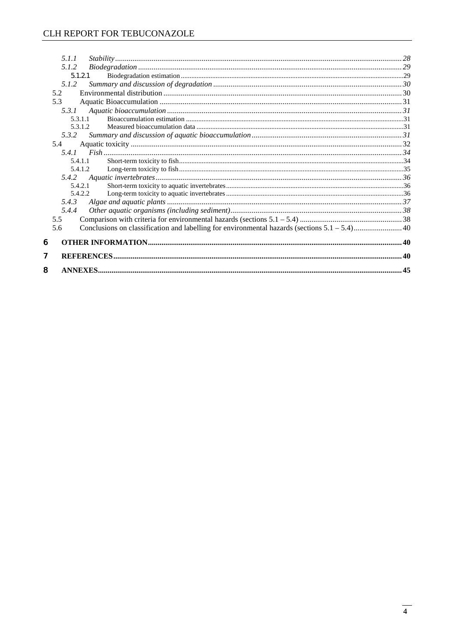| 8 |            |  |
|---|------------|--|
| 7 |            |  |
| 6 |            |  |
|   | 5.6        |  |
|   | 5.5        |  |
|   | 5.4.4      |  |
|   | 5.4.3      |  |
|   | 5.4.2.2    |  |
|   | 5.4.2.1    |  |
|   | 5.4.1.2    |  |
|   | 5.4.1.1    |  |
|   |            |  |
|   | 5.4        |  |
|   | 5.3.2      |  |
|   | 5.3.1.2    |  |
|   | 5.3.1.1    |  |
|   |            |  |
|   | 5.2<br>5.3 |  |
|   | 5.1.2      |  |
|   | 5.1.2.1    |  |
|   | 5.1.2      |  |
|   | 5.1.1      |  |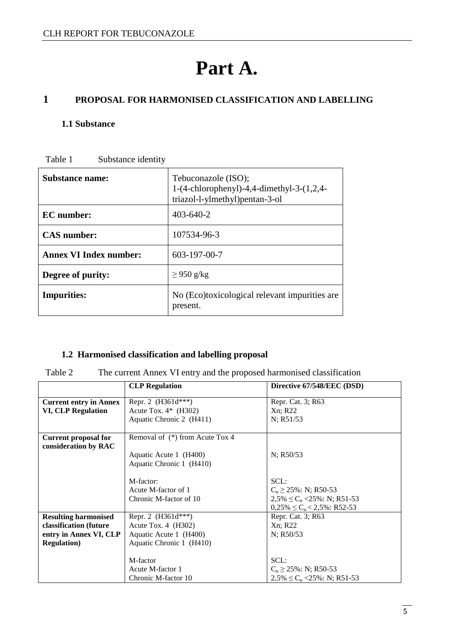# **Part A.**

### **1 PROPOSAL FOR HARMONISED CLASSIFICATION AND LABELLING**

#### **1.1 Substance**

| Table 1 | Substance identity |
|---------|--------------------|
|---------|--------------------|

| Substance name:               | Tebuconazole (ISO);<br>1- $(4$ -chlorophenyl $)$ -4,4-dimethyl-3- $(1,2,4-$<br>triazol-l-ylmethyl)pentan-3-ol |  |  |
|-------------------------------|---------------------------------------------------------------------------------------------------------------|--|--|
| <b>EC</b> number:             | $403 - 640 - 2$                                                                                               |  |  |
| <b>CAS</b> number:            | 107534-96-3                                                                                                   |  |  |
| <b>Annex VI Index number:</b> | 603-197-00-7                                                                                                  |  |  |
| Degree of purity:             | $\geq$ 950 g/kg                                                                                               |  |  |
| <b>Impurities:</b>            | No (Eco)toxicological relevant impurities are<br>present.                                                     |  |  |

#### **1.2 Harmonised classification and labelling proposal**

| r<br>H<br>. . |  |
|---------------|--|
|---------------|--|

The current Annex VI entry and the proposed harmonised classification

|                                                     | <b>CLP</b> Regulation           | Directive 67/548/EEC (DSD)             |
|-----------------------------------------------------|---------------------------------|----------------------------------------|
| <b>Current entry in Annex</b>                       | Repr. 2 $(H361d***)$            | Repr. Cat. 3; R63                      |
| <b>VI, CLP Regulation</b>                           | Acute Tox. $4*$ (H302)          | Xn; R22                                |
|                                                     | Aquatic Chronic 2 (H411)        | N; R51/53                              |
| <b>Current proposal for</b><br>consideration by RAC | Removal of (*) from Acute Tox 4 |                                        |
|                                                     | Aquatic Acute 1 (H400)          | N: R50/53                              |
|                                                     | Aquatic Chronic 1 (H410)        |                                        |
|                                                     | M-factor:                       | SCL:                                   |
|                                                     | Acute M-factor of 1             | $C_n \ge 25\%$ : N; R50-53             |
|                                                     | Chronic M-factor of 10          | $2,5\% \leq C_n \leq 25\%$ : N; R51-53 |
|                                                     |                                 | $0,25\% \leq C_n < 2,5\%$ : R52-53     |
| <b>Resulting harmonised</b>                         | Repr. 2 $(H361d***)$            | Repr. Cat. 3; R63                      |
| classification (future                              | Acute Tox. 4 (H302)             | Xn; R22                                |
| entry in Annex VI, CLP                              | Aquatic Acute 1 (H400)          | $N$ ; R50/53                           |
| <b>Regulation</b> )                                 | Aquatic Chronic 1 (H410)        |                                        |
|                                                     |                                 |                                        |
|                                                     | M-factor                        | SCL:                                   |
|                                                     | Acute M-factor 1                | $C_n \ge 25\%$ : N; R50-53             |
|                                                     | Chronic M-factor 10             | $2,5\% \leq C_n \leq 25\%$ : N; R51-53 |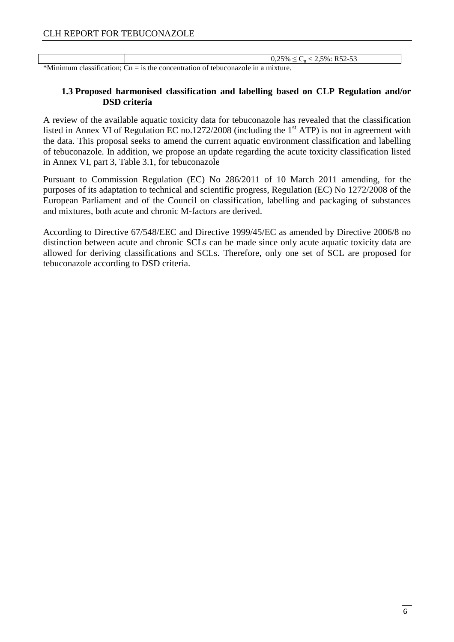Γ

|                                                                                                                                                                                                    |                                                                                                                                    | 2,5%: R52-53<br>0,25%<br>◡╖<br>$\overline{\phantom{a}}$ |
|----------------------------------------------------------------------------------------------------------------------------------------------------------------------------------------------------|------------------------------------------------------------------------------------------------------------------------------------|---------------------------------------------------------|
| the contract of the contract of the contract of the contract of the contract of the contract of the contract of<br>the contract of the contract of the contract of the contract of the contract of | the contract of the contract of the contract of the contract of the contract of<br>the contract of the contract of the contract of |                                                         |

\*Minimum classification;  $Cn =$  is the concentration of tebuconazole in a mixture.

#### **1.3 Proposed harmonised classification and labelling based on CLP Regulation and/or DSD criteria**

A review of the available aquatic toxicity data for tebuconazole has revealed that the classification listed in Annex VI of Regulation EC no.1272/2008 (including the  $1<sup>st</sup>$  ATP) is not in agreement with the data. This proposal seeks to amend the current aquatic environment classification and labelling of tebuconazole. In addition, we propose an update regarding the acute toxicity classification listed in Annex VI, part 3, Table 3.1, for tebuconazole

Pursuant to Commission Regulation (EC) No 286/2011 of 10 March 2011 amending, for the purposes of its adaptation to technical and scientific progress, Regulation (EC) No 1272/2008 of the European Parliament and of the Council on classification, labelling and packaging of substances and mixtures, both acute and chronic M-factors are derived.

According to Directive 67/548/EEC and Directive 1999/45/EC as amended by Directive 2006/8 no distinction between acute and chronic SCLs can be made since only acute aquatic toxicity data are allowed for deriving classifications and SCLs. Therefore, only one set of SCL are proposed for tebuconazole according to DSD criteria.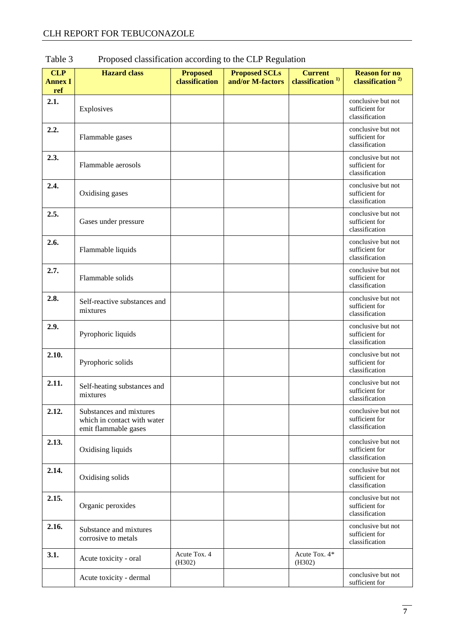| <b>CLP</b><br><b>Annex I</b><br>ref | <b>Hazard</b> class                                                            | <b>Proposed</b><br>classification | <b>Proposed SCLs</b><br>and/or M-factors | <b>Current</b><br>classification <sup>1)</sup> | <b>Reason for no</b><br>classification <sup>2)</sup>   |
|-------------------------------------|--------------------------------------------------------------------------------|-----------------------------------|------------------------------------------|------------------------------------------------|--------------------------------------------------------|
| 2.1.                                | Explosives                                                                     |                                   |                                          |                                                | conclusive but not<br>sufficient for<br>classification |
| 2.2.                                | Flammable gases                                                                |                                   |                                          |                                                | conclusive but not<br>sufficient for<br>classification |
| 2.3.                                | Flammable aerosols                                                             |                                   |                                          |                                                | conclusive but not<br>sufficient for<br>classification |
| 2.4.                                | Oxidising gases                                                                |                                   |                                          |                                                | conclusive but not<br>sufficient for<br>classification |
| 2.5.                                | Gases under pressure                                                           |                                   |                                          |                                                | conclusive but not<br>sufficient for<br>classification |
| 2.6.                                | Flammable liquids                                                              |                                   |                                          |                                                | conclusive but not<br>sufficient for<br>classification |
| 2.7.                                | Flammable solids                                                               |                                   |                                          |                                                | conclusive but not<br>sufficient for<br>classification |
| 2.8.                                | Self-reactive substances and<br>mixtures                                       |                                   |                                          |                                                | conclusive but not<br>sufficient for<br>classification |
| 2.9.                                | Pyrophoric liquids                                                             |                                   |                                          |                                                | conclusive but not<br>sufficient for<br>classification |
| 2.10.                               | Pyrophoric solids                                                              |                                   |                                          |                                                | conclusive but not<br>sufficient for<br>classification |
| 2.11.                               | Self-heating substances and<br>mixtures                                        |                                   |                                          |                                                | conclusive but not<br>sufficient for<br>classification |
| 2.12.                               | Substances and mixtures<br>which in contact with water<br>emit flammable gases |                                   |                                          |                                                | conclusive but not<br>sufficient for<br>classification |
| 2.13.                               | Oxidising liquids                                                              |                                   |                                          |                                                | conclusive but not<br>sufficient for<br>classification |
| 2.14.                               | Oxidising solids                                                               |                                   |                                          |                                                | conclusive but not<br>sufficient for<br>classification |
| 2.15.                               | Organic peroxides                                                              |                                   |                                          |                                                | conclusive but not<br>sufficient for<br>classification |
| 2.16.                               | Substance and mixtures<br>corrosive to metals                                  |                                   |                                          |                                                | conclusive but not<br>sufficient for<br>classification |
| 3.1.                                | Acute toxicity - oral                                                          | Acute Tox. 4<br>(H302)            |                                          | Acute Tox. 4*<br>(H302)                        |                                                        |
|                                     | Acute toxicity - dermal                                                        |                                   |                                          |                                                | conclusive but not<br>sufficient for                   |

### Table 3 Proposed classification according to the CLP Regulation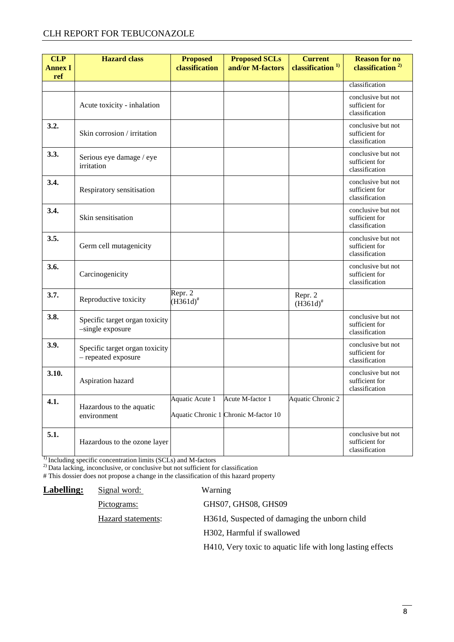#### CLH REPORT FOR TEBUCONAZOLE

| <b>CLP</b><br><b>Annex I</b><br>ref | <b>Hazard</b> class                                   | <b>Proposed</b><br>classification | <b>Proposed SCLs</b><br>and/or M-factors                  | <b>Current</b><br>classification <sup>1)</sup> | <b>Reason for no</b><br>classification <sup>2)</sup>   |
|-------------------------------------|-------------------------------------------------------|-----------------------------------|-----------------------------------------------------------|------------------------------------------------|--------------------------------------------------------|
|                                     |                                                       |                                   |                                                           |                                                | classification                                         |
|                                     | Acute toxicity - inhalation                           |                                   |                                                           |                                                | conclusive but not<br>sufficient for<br>classification |
| 3.2.                                | Skin corrosion / irritation                           |                                   |                                                           |                                                | conclusive but not<br>sufficient for<br>classification |
| 3.3.                                | Serious eye damage / eye<br>irritation                |                                   |                                                           |                                                | conclusive but not<br>sufficient for<br>classification |
| 3.4.                                | Respiratory sensitisation                             |                                   |                                                           |                                                | conclusive but not<br>sufficient for<br>classification |
| 3.4.                                | Skin sensitisation                                    |                                   |                                                           |                                                | conclusive but not<br>sufficient for<br>classification |
| 3.5.                                | Germ cell mutagenicity                                |                                   |                                                           |                                                | conclusive but not<br>sufficient for<br>classification |
| 3.6.                                | Carcinogenicity                                       |                                   |                                                           |                                                | conclusive but not<br>sufficient for<br>classification |
| 3.7.                                | Reproductive toxicity                                 | Repr. 2<br>$(H361d)^{#}$          |                                                           | Repr. 2<br>$(H361d)^{#}$                       |                                                        |
| 3.8.                                | Specific target organ toxicity<br>-single exposure    |                                   |                                                           |                                                | conclusive but not<br>sufficient for<br>classification |
| 3.9.                                | Specific target organ toxicity<br>- repeated exposure |                                   |                                                           |                                                | conclusive but not<br>sufficient for<br>classification |
| 3.10.                               | Aspiration hazard                                     |                                   |                                                           |                                                | conclusive but not<br>sufficient for<br>classification |
| 4.1.                                | Hazardous to the aquatic<br>environment               | Aquatic Acute 1                   | Acute M-factor 1<br>Aquatic Chronic 1 Chronic M-factor 10 | Aquatic Chronic 2                              |                                                        |
| 5.1.                                | Hazardous to the ozone layer                          |                                   |                                                           |                                                | conclusive but not<br>sufficient for<br>classification |

<sup>1)</sup> Including specific concentration limits (SCLs) and M-factors

<sup>2)</sup> Data lacking, inconclusive, or conclusive but not sufficient for classification

# This dossier does not propose a change in the classification of this hazard property

| <b>Labelling:</b> | Signal word:       | Warning                                                    |
|-------------------|--------------------|------------------------------------------------------------|
|                   | Pictograms:        | GHS07, GHS08, GHS09                                        |
|                   | Hazard statements: | H361d, Suspected of damaging the unborn child              |
|                   |                    | H <sub>302</sub> , Harmful if swallowed                    |
|                   |                    | H410, Very toxic to aquatic life with long lasting effects |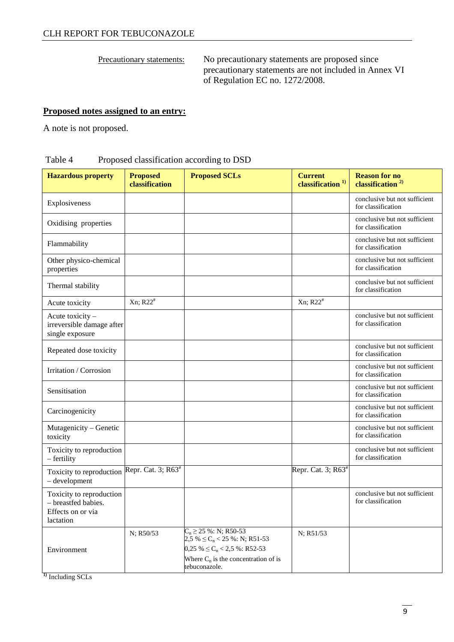Precautionary statements: No precautionary statements are proposed since precautionary statements are not included in Annex VI of Regulation EC no. 1272/2008.

#### **Proposed notes assigned to an entry:**

A note is not proposed.

#### Table 4 Proposed classification according to DSD

| <b>Hazardous property</b>                                                         | <b>Proposed</b><br>classification | <b>Proposed SCLs</b>                                                                                                                                              | <b>Current</b><br>classification <sup>1)</sup> | <b>Reason for no</b><br>classification <sup>2)</sup> |
|-----------------------------------------------------------------------------------|-----------------------------------|-------------------------------------------------------------------------------------------------------------------------------------------------------------------|------------------------------------------------|------------------------------------------------------|
| Explosiveness                                                                     |                                   |                                                                                                                                                                   |                                                | conclusive but not sufficient<br>for classification  |
| Oxidising properties                                                              |                                   |                                                                                                                                                                   |                                                | conclusive but not sufficient<br>for classification  |
| Flammability                                                                      |                                   |                                                                                                                                                                   |                                                | conclusive but not sufficient<br>for classification  |
| Other physico-chemical<br>properties                                              |                                   |                                                                                                                                                                   |                                                | conclusive but not sufficient<br>for classification  |
| Thermal stability                                                                 |                                   |                                                                                                                                                                   |                                                | conclusive but not sufficient<br>for classification  |
| Acute toxicity                                                                    | Xn; R22 <sup>#</sup>              |                                                                                                                                                                   | $Xn$ ; R22 <sup>#</sup>                        |                                                      |
| Acute toxicity -<br>irreversible damage after<br>single exposure                  |                                   |                                                                                                                                                                   |                                                | conclusive but not sufficient<br>for classification  |
| Repeated dose toxicity                                                            |                                   |                                                                                                                                                                   |                                                | conclusive but not sufficient<br>for classification  |
| Irritation / Corrosion                                                            |                                   |                                                                                                                                                                   |                                                | conclusive but not sufficient<br>for classification  |
| Sensitisation                                                                     |                                   |                                                                                                                                                                   |                                                | conclusive but not sufficient<br>for classification  |
| Carcinogenicity                                                                   |                                   |                                                                                                                                                                   |                                                | conclusive but not sufficient<br>for classification  |
| Mutagenicity - Genetic<br>toxicity                                                |                                   |                                                                                                                                                                   |                                                | conclusive but not sufficient<br>for classification  |
| Toxicity to reproduction<br>- fertility                                           |                                   |                                                                                                                                                                   |                                                | conclusive but not sufficient<br>for classification  |
| Toxicity to reproduction<br>- development                                         | Repr. Cat. 3; R63 <sup>#</sup>    |                                                                                                                                                                   | Repr. Cat. 3; $R63^*$                          |                                                      |
| Toxicity to reproduction<br>- breastfed babies.<br>Effects on or via<br>lactation |                                   |                                                                                                                                                                   |                                                | conclusive but not sufficient<br>for classification  |
| Environment                                                                       | N; R50/53                         | $C_n \ge 25$ %: N; R50-53<br>$2,5\% \leq C_n < 25\%$ : N; R51-53<br>$0,25\% \leq C_n < 2,5\%$ : R52-53<br>Where $C_n$ is the concentration of is<br>tebuconazole. | N; R51/53                                      |                                                      |

**1)** Including SCLs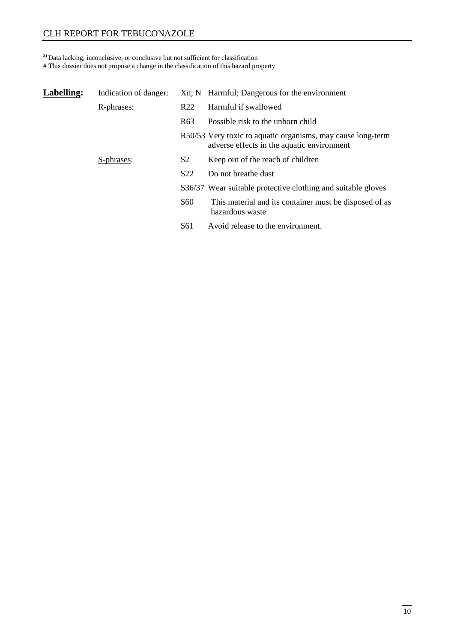#### CLH REPORT FOR TEBUCONAZOLE

#### **2)** Data lacking, inconclusive, or conclusive but not sufficient for classification

# This dossier does not propose a change in the classification of this hazard property

| Labelling: | Indication of danger: |                 | Xn; N Harmful; Dangerous for the environment                                                              |
|------------|-----------------------|-----------------|-----------------------------------------------------------------------------------------------------------|
|            | R-phrases:            | R <sub>22</sub> | Harmful if swallowed                                                                                      |
|            |                       | R <sub>63</sub> | Possible risk to the unborn child                                                                         |
|            |                       |                 | R50/53 Very toxic to aquatic organisms, may cause long-term<br>adverse effects in the aquatic environment |
|            | S-phrases:            | S <sub>2</sub>  | Keep out of the reach of children                                                                         |
|            |                       | S <sub>22</sub> | Do not breathe dust                                                                                       |
|            |                       |                 | S36/37 Wear suitable protective clothing and suitable gloves                                              |
|            |                       | <b>S60</b>      | This material and its container must be disposed of as<br>hazardous waste                                 |
|            |                       | S <sub>61</sub> | Avoid release to the environment.                                                                         |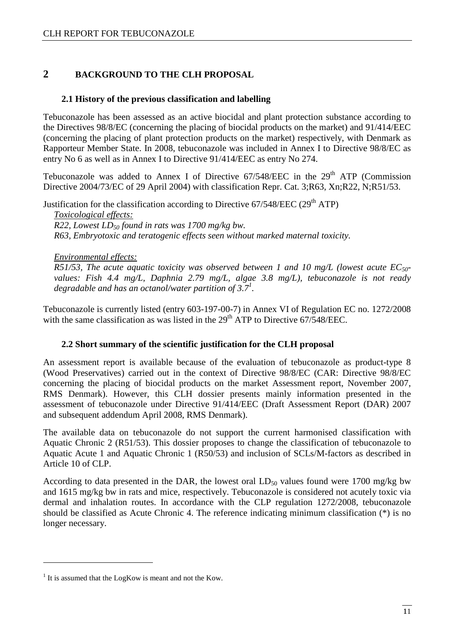#### **2 BACKGROUND TO THE CLH PROPOSAL**

#### **2.1 History of the previous classification and labelling**

Tebuconazole has been assessed as an active biocidal and plant protection substance according to the Directives 98/8/EC (concerning the placing of biocidal products on the market) and 91/414/EEC (concerning the placing of plant protection products on the market) respectively, with Denmark as Rapporteur Member State. In 2008, tebuconazole was included in Annex I to Directive 98/8/EC as entry No 6 as well as in Annex I to Directive 91/414/EEC as entry No 274.

Tebuconazole was added to Annex I of Directive  $67/548/EEC$  in the  $29<sup>th</sup> ATP$  (Commission Directive 2004/73/EC of 29 April 2004) with classification Repr. Cat. 3;R63, Xn;R22, N;R51/53.

Justification for the classification according to Directive  $67/548/EEC$  (29<sup>th</sup> ATP)

*Toxicological effects: R22, Lowest LD50 found in rats was 1700 mg/kg bw. R63, Embryotoxic and teratogenic effects seen without marked maternal toxicity.* 

 *Environmental effects: R51/53, The acute aquatic toxicity was observed between 1 and 10 mg/L (lowest acute EC50 values: Fish 4.4 mg/L, Daphnia 2.79 mg/L, algae 3.8 mg/L), tebuconazole is not ready degradable and has an octanol/water partition of 3.7 1 .* 

Tebuconazole is currently listed (entry 603-197-00-7) in Annex VI of Regulation EC no. 1272/2008 with the same classification as was listed in the  $29<sup>th</sup>$  ATP to Directive 67/548/EEC.

#### **2.2 Short summary of the scientific justification for the CLH proposal**

An assessment report is available because of the evaluation of tebuconazole as product-type 8 (Wood Preservatives) carried out in the context of Directive 98/8/EC (CAR: Directive 98/8/EC concerning the placing of biocidal products on the market Assessment report, November 2007, RMS Denmark). However, this CLH dossier presents mainly information presented in the assessment of tebuconazole under Directive 91/414/EEC (Draft Assessment Report (DAR) 2007 and subsequent addendum April 2008, RMS Denmark).

The available data on tebuconazole do not support the current harmonised classification with Aquatic Chronic 2 (R51/53). This dossier proposes to change the classification of tebuconazole to Aquatic Acute 1 and Aquatic Chronic 1 (R50/53) and inclusion of SCLs/M-factors as described in Article 10 of CLP.

According to data presented in the DAR, the lowest oral  $LD_{50}$  values found were 1700 mg/kg bw and 1615 mg/kg bw in rats and mice, respectively. Tebuconazole is considered not acutely toxic via dermal and inhalation routes. In accordance with the CLP regulation 1272/2008, tebuconazole should be classified as Acute Chronic 4. The reference indicating minimum classification (\*) is no longer necessary.

 $\overline{a}$ 

 $<sup>1</sup>$  It is assumed that the LogKow is meant and not the Kow.</sup>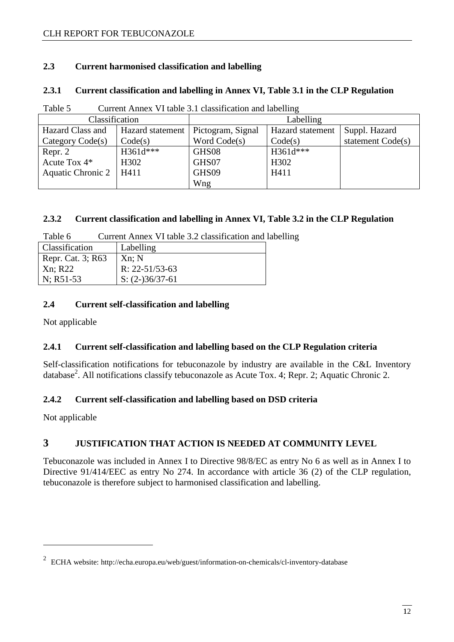#### **2.3 Current harmonised classification and labelling**

#### **2.3.1 Current classification and labelling in Annex VI, Table 3.1 in the CLP Regulation**

| Classification           |                   | Labelling         |                  |                   |  |
|--------------------------|-------------------|-------------------|------------------|-------------------|--|
| Hazard Class and         | Hazard statement  | Pictogram, Signal | Hazard statement | Suppl. Hazard     |  |
| Category Code(s)         | Code(s)           | Word Code(s)      | Code(s)          | statement Code(s) |  |
| Repr. 2                  | $H361d***$        | GHS08             | H361d***         |                   |  |
| Acute Tox $4*$           | H <sub>3</sub> 02 | GHS07             | H302             |                   |  |
| <b>Aquatic Chronic 2</b> | H411              | GHS09             | H411             |                   |  |
|                          |                   | Wng               |                  |                   |  |

Table 5 Current Annex VI table 3.1 classification and labelling

#### **2.3.2 Current classification and labelling in Annex VI, Table 3.2 in the CLP Regulation**

| Table 6 | Current Annex VI table 3.2 classification and labelling |  |  |
|---------|---------------------------------------------------------|--|--|
|         |                                                         |  |  |

| Classification    | Labelling            |
|-------------------|----------------------|
| Repr. Cat. 3; R63 | Xn; N                |
| Xn; R22           | $R: 22 - 51/53 - 63$ |
| $N$ ; R51-53      | $S: (2-)36/37-61$    |

#### **2.4 Current self-classification and labelling**

Not applicable

#### **2.4.1 Current self-classification and labelling based on the CLP Regulation criteria**

Self-classification notifications for tebuconazole by industry are available in the C&L Inventory database<sup>2</sup>. All notifications classify tebuconazole as Acute Tox. 4; Repr. 2; Aquatic Chronic 2.

#### **2.4.2 Current self-classification and labelling based on DSD criteria**

Not applicable

 $\overline{a}$ 

### **3 JUSTIFICATION THAT ACTION IS NEEDED AT COMMUNITY LEVEL**

Tebuconazole was included in Annex I to Directive 98/8/EC as entry No 6 as well as in Annex I to Directive 91/414/EEC as entry No 274. In accordance with article 36 (2) of the CLP regulation, tebuconazole is therefore subject to harmonised classification and labelling.

<sup>&</sup>lt;sup>2</sup> ECHA website: http://echa.europa.eu/web/guest/information-on-chemicals/cl-inventory-database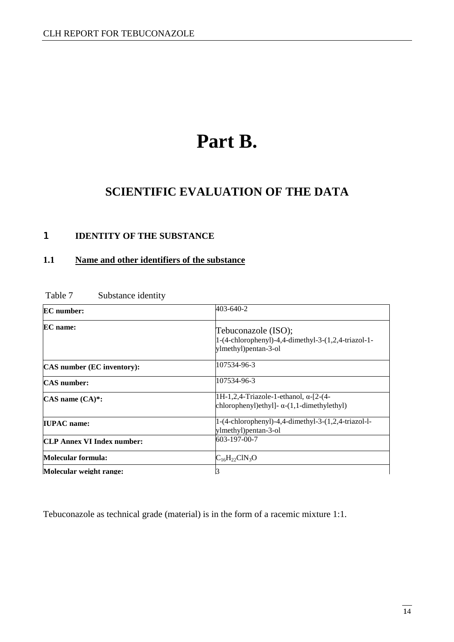# **Part B.**

### **SCIENTIFIC EVALUATION OF THE DATA**

#### 1 **IDENTITY OF THE SUBSTANCE**

#### **1.1 Name and other identifiers of the substance**

| <b>EC</b> number:                 | 403-640-2                                                                                          |  |  |
|-----------------------------------|----------------------------------------------------------------------------------------------------|--|--|
| <b>EC</b> name:                   | Tebuconazole (ISO);<br>1-(4-chlorophenyl)-4,4-dimethyl-3-(1,2,4-triazol-1-<br>ylmethyl)pentan-3-ol |  |  |
| CAS number (EC inventory):        | 107534-96-3                                                                                        |  |  |
| <b>CAS</b> number:                | 107534-96-3                                                                                        |  |  |
| CAS name (CA)*:                   | 1H-1,2,4-Triazole-1-ethanol, α-[2-(4-<br>chlorophenyl)ethyl]- $\alpha$ -(1,1-dimethylethyl)        |  |  |
| <b>IUPAC</b> name:                | 1-(4-chlorophenyl)-4,4-dimethyl-3-(1,2,4-triazol-l-<br>ylmethyl)pentan-3-ol                        |  |  |
| <b>CLP Annex VI Index number:</b> | 603-197-00-7                                                                                       |  |  |
| Molecular formula:                | $C_{16}H_{22}CIN_3O$                                                                               |  |  |
| Molecular weight range:           | 3                                                                                                  |  |  |

#### Table 7 Substance identity

Tebuconazole as technical grade (material) is in the form of a racemic mixture 1:1.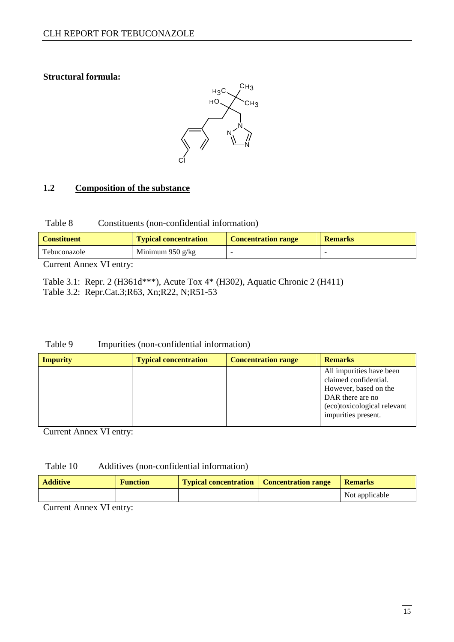#### **Structural formula:**



#### **1.2 Composition of the substance**

| Table 8 |  | Constituents (non-confidential information) |  |
|---------|--|---------------------------------------------|--|
|---------|--|---------------------------------------------|--|

| <b>Constituent</b> | <b>Typical concentration</b> | <b>Concentration range</b> | <b>Remarks</b> |
|--------------------|------------------------------|----------------------------|----------------|
| Tebuconazole       | Minimum 950 g/kg             |                            |                |

Current Annex VI entry:

Table 3.1: Repr. 2 (H361d\*\*\*), Acute Tox 4\* (H302), Aquatic Chronic 2 (H411) Table 3.2: Repr.Cat.3;R63, Xn;R22, N;R51-53

#### Table 9 Impurities (non-confidential information)

| <b>Impurity</b> | <b>Typical concentration</b> | <b>Concentration range</b> | <b>Remarks</b>                                                                                                                                       |
|-----------------|------------------------------|----------------------------|------------------------------------------------------------------------------------------------------------------------------------------------------|
|                 |                              |                            | All impurities have been<br>claimed confidential.<br>However, based on the<br>DAR there are no<br>(eco)toxicological relevant<br>impurities present. |

Current Annex VI entry:

#### Table 10 Additives (non-confidential information)

| <b>Additive</b> | <b>Function</b> | <b>Typical concentration</b> Concentration range | <b>Remarks</b> |
|-----------------|-----------------|--------------------------------------------------|----------------|
|                 |                 |                                                  | Not applicable |

Current Annex VI entry: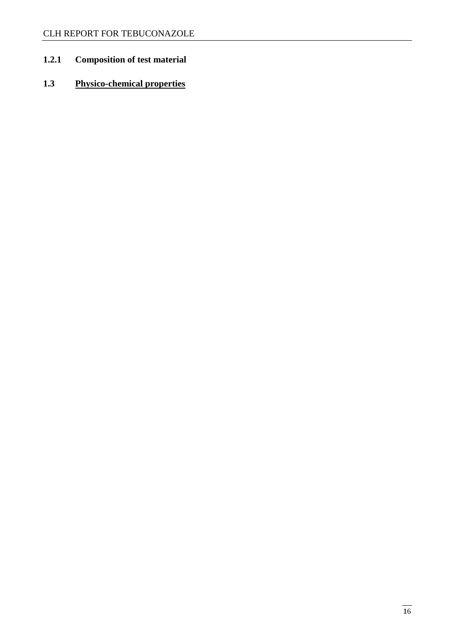### **1.2.1 Composition of test material**

### **1.3 Physico-chemical properties**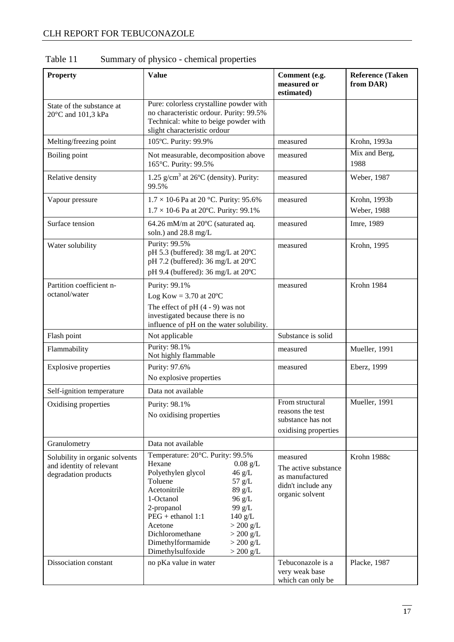| <b>Property</b>                                                                    | <b>Value</b>                                                                                                                                                                                                                                                                                                                                                      | Comment (e.g.<br>measured or<br>estimated)                                                   | <b>Reference (Taken</b><br>from DAR) |
|------------------------------------------------------------------------------------|-------------------------------------------------------------------------------------------------------------------------------------------------------------------------------------------------------------------------------------------------------------------------------------------------------------------------------------------------------------------|----------------------------------------------------------------------------------------------|--------------------------------------|
| State of the substance at<br>20°C and 101,3 kPa                                    | Pure: colorless crystalline powder with<br>no characteristic ordour. Purity: 99.5%<br>Technical: white to beige powder with<br>slight characteristic ordour                                                                                                                                                                                                       |                                                                                              |                                      |
| Melting/freezing point                                                             | 105°C. Purity: 99.9%                                                                                                                                                                                                                                                                                                                                              | measured                                                                                     | Krohn, 1993a                         |
| Boiling point                                                                      | Not measurable, decomposition above<br>165°C. Purity: 99.5%                                                                                                                                                                                                                                                                                                       | measured                                                                                     | Mix and Berg,<br>1988                |
| Relative density                                                                   | 1.25 $g/cm3$ at 26°C (density). Purity:<br>99.5%                                                                                                                                                                                                                                                                                                                  | measured                                                                                     | Weber, 1987                          |
| Vapour pressure                                                                    | $1.7 \times 10$ -6 Pa at 20 °C. Purity: 95.6%<br>$1.7 \times 10$ -6 Pa at 20°C. Purity: 99.1%                                                                                                                                                                                                                                                                     | measured                                                                                     | Krohn, 1993b<br>Weber, 1988          |
| Surface tension                                                                    | 64.26 mM/m at 20°C (saturated aq.<br>soln.) and 28.8 mg/L                                                                                                                                                                                                                                                                                                         | measured                                                                                     | Imre, 1989                           |
| Water solubility                                                                   | Purity: 99.5%<br>pH 5.3 (buffered): 38 mg/L at 20°C<br>pH 7.2 (buffered): 36 mg/L at 20°C<br>pH 9.4 (buffered): 36 mg/L at 20°C                                                                                                                                                                                                                                   | measured                                                                                     | Krohn, 1995                          |
| Partition coefficient n-<br>octanol/water                                          | Purity: 99.1%<br>Log Kow = $3.70$ at 20 $^{\circ}$ C<br>The effect of $pH(4-9)$ was not<br>investigated because there is no<br>influence of pH on the water solubility.                                                                                                                                                                                           | measured                                                                                     | Krohn 1984                           |
| Flash point                                                                        | Not applicable                                                                                                                                                                                                                                                                                                                                                    | Substance is solid                                                                           |                                      |
| Flammability                                                                       | Purity: 98.1%<br>Not highly flammable                                                                                                                                                                                                                                                                                                                             | measured                                                                                     | Mueller, 1991                        |
| <b>Explosive properties</b>                                                        | Purity: 97.6%<br>No explosive properties                                                                                                                                                                                                                                                                                                                          | measured                                                                                     | Eberz, 1999                          |
| Self-ignition temperature                                                          | Data not available                                                                                                                                                                                                                                                                                                                                                |                                                                                              |                                      |
| Oxidising properties                                                               | Purity: 98.1%<br>No oxidising properties                                                                                                                                                                                                                                                                                                                          | From structural<br>reasons the test<br>substance has not<br>oxidising properties             | Mueller, 1991                        |
| Granulometry                                                                       | Data not available                                                                                                                                                                                                                                                                                                                                                |                                                                                              |                                      |
| Solubility in organic solvents<br>and identity of relevant<br>degradation products | Temperature: 20°C. Purity: 99.5%<br>Hexane<br>$0.08$ g/L<br>Polyethylen glycol<br>$46$ g/L<br>Toluene<br>$57$ g/L<br>Acetonitrile<br>89 g/L<br>1-Octanol<br>96 g/L<br>2-propanol<br>99 g/L<br>$PEG + ethanol 1:1$<br>$140$ g/L<br>Acetone<br>$>200$ g/L<br>Dichloromethane<br>$>$ 200 g/L<br>Dimethylformamide<br>$>$ 200 g/L<br>Dimethylsulfoxide<br>$>$ 200 g/L | measured<br>The active substance<br>as manufactured<br>didn't include any<br>organic solvent | Krohn 1988c                          |
| Dissociation constant                                                              | no pKa value in water                                                                                                                                                                                                                                                                                                                                             | Tebuconazole is a<br>very weak base<br>which can only be                                     | Placke, 1987                         |

### Table 11 Summary of physico - chemical properties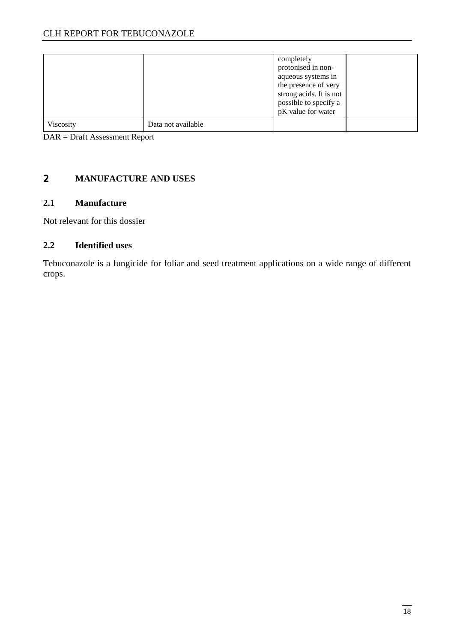|           |                    | completely<br>protonised in non-<br>aqueous systems in<br>the presence of very<br>strong acids. It is not<br>possible to specify a<br>pK value for water |  |
|-----------|--------------------|----------------------------------------------------------------------------------------------------------------------------------------------------------|--|
| Viscosity | Data not available |                                                                                                                                                          |  |

DAR = Draft Assessment Report

#### 2 **MANUFACTURE AND USES**

#### **2.1 Manufacture**

Not relevant for this dossier

#### **2.2 Identified uses**

Tebuconazole is a fungicide for foliar and seed treatment applications on a wide range of different crops.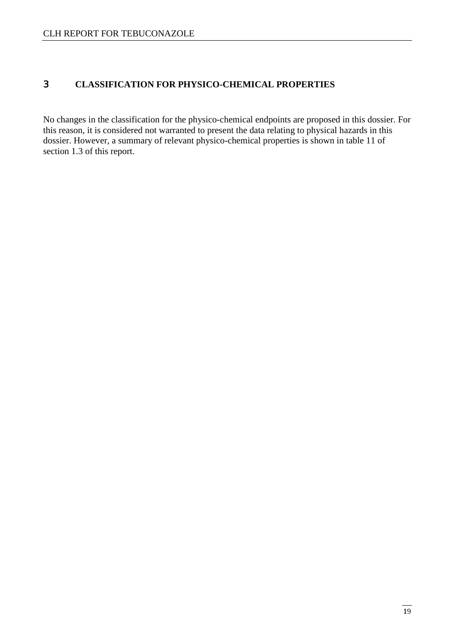#### 3 **CLASSIFICATION FOR PHYSICO-CHEMICAL PROPERTIES**

No changes in the classification for the physico-chemical endpoints are proposed in this dossier. For this reason, it is considered not warranted to present the data relating to physical hazards in this dossier. However, a summary of relevant physico-chemical properties is shown in table 11 of section 1.3 of this report.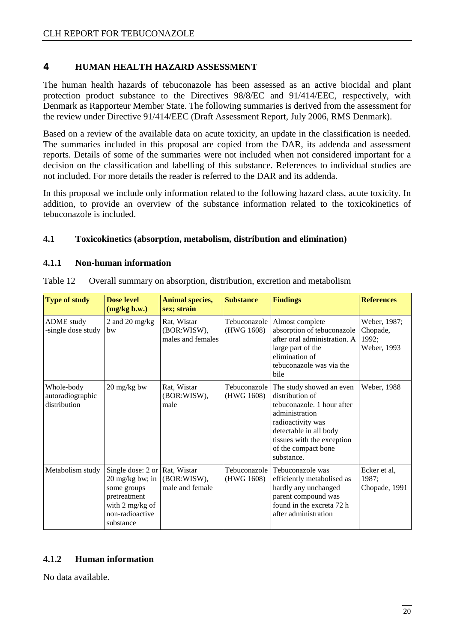#### 4 **HUMAN HEALTH HAZARD ASSESSMENT**

The human health hazards of tebuconazole has been assessed as an active biocidal and plant protection product substance to the Directives 98/8/EC and 91/414/EEC, respectively, with Denmark as Rapporteur Member State. The following summaries is derived from the assessment for the review under Directive 91/414/EEC (Draft Assessment Report, July 2006, RMS Denmark).

Based on a review of the available data on acute toxicity, an update in the classification is needed. The summaries included in this proposal are copied from the DAR, its addenda and assessment reports. Details of some of the summaries were not included when not considered important for a decision on the classification and labelling of this substance. References to individual studies are not included. For more details the reader is referred to the DAR and its addenda.

In this proposal we include only information related to the following hazard class, acute toxicity. In addition, to provide an overview of the substance information related to the toxicokinetics of tebuconazole is included.

#### **4.1 Toxicokinetics (absorption, metabolism, distribution and elimination)**

#### **4.1.1 Non-human information**

| <b>Type of study</b>                           | <b>Dose level</b><br>(mg/kg b.w.)                                                                                                                                      | <b>Animal species,</b><br>sex; strain           | <b>Substance</b>           | <b>Findings</b>                                                                                                                                                                                               | <b>References</b>                                |
|------------------------------------------------|------------------------------------------------------------------------------------------------------------------------------------------------------------------------|-------------------------------------------------|----------------------------|---------------------------------------------------------------------------------------------------------------------------------------------------------------------------------------------------------------|--------------------------------------------------|
| <b>ADME</b> study<br>-single dose study        | 2 and 20 mg/kg<br>bw                                                                                                                                                   | Rat, Wistar<br>(BOR:WISW),<br>males and females | Tebuconazole<br>(HWG 1608) | Almost complete<br>absorption of tebuconazole<br>after oral administration. A<br>large part of the<br>elimination of<br>tebuconazole was via the<br>bile                                                      | Weber, 1987;<br>Chopade,<br>1992;<br>Weber, 1993 |
| Whole-body<br>autoradiographic<br>distribution | 20 mg/kg bw                                                                                                                                                            | Rat, Wistar<br>(BOR:WISW),<br>male              | Tebuconazole<br>(HWG 1608) | The study showed an even<br>distribution of<br>tebuconazole. 1 hour after<br>administration<br>radioactivity was<br>detectable in all body<br>tissues with the exception<br>of the compact bone<br>substance. | Weber, 1988                                      |
| Metabolism study                               | Single dose: $2$ or Rat, Wistar<br>$20 \frac{\text{mg}}{\text{kg}}$ bw; in<br>some groups<br>pretreatment<br>with $2 \text{ mg/kg of}$<br>non-radioactive<br>substance | (BOR:WISW),<br>male and female                  | Tebuconazole<br>(HWG 1608) | Tebuconazole was<br>efficiently metabolised as<br>hardly any unchanged<br>parent compound was<br>found in the excreta 72 h<br>after administration                                                            | Ecker et al,<br>1987;<br>Chopade, 1991           |

Table 12 Overall summary on absorption, distribution, excretion and metabolism

#### **4.1.2 Human information**

No data available.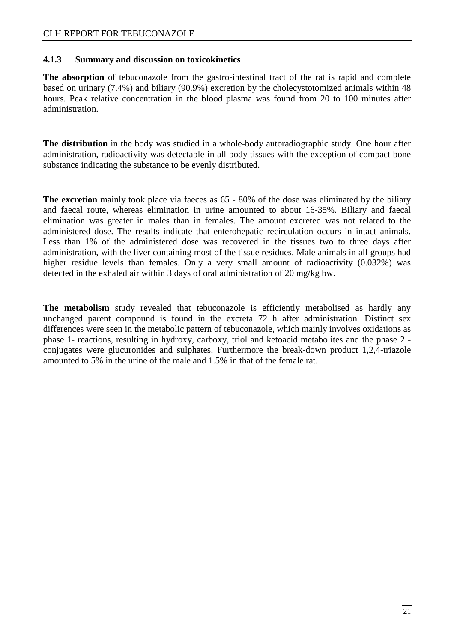#### **4.1.3 Summary and discussion on toxicokinetics**

**The absorption** of tebuconazole from the gastro-intestinal tract of the rat is rapid and complete based on urinary (7.4%) and biliary (90.9%) excretion by the cholecystotomized animals within 48 hours. Peak relative concentration in the blood plasma was found from 20 to 100 minutes after administration.

**The distribution** in the body was studied in a whole-body autoradiographic study. One hour after administration, radioactivity was detectable in all body tissues with the exception of compact bone substance indicating the substance to be evenly distributed.

**The excretion** mainly took place via faeces as 65 - 80% of the dose was eliminated by the biliary and faecal route, whereas elimination in urine amounted to about 16-35%. Biliary and faecal elimination was greater in males than in females. The amount excreted was not related to the administered dose. The results indicate that enterohepatic recirculation occurs in intact animals. Less than 1% of the administered dose was recovered in the tissues two to three days after administration, with the liver containing most of the tissue residues. Male animals in all groups had higher residue levels than females. Only a very small amount of radioactivity (0.032%) was detected in the exhaled air within 3 days of oral administration of 20 mg/kg bw.

The metabolism study revealed that tebuconazole is efficiently metabolised as hardly any unchanged parent compound is found in the excreta 72 h after administration. Distinct sex differences were seen in the metabolic pattern of tebuconazole, which mainly involves oxidations as phase 1- reactions, resulting in hydroxy, carboxy, triol and ketoacid metabolites and the phase 2 conjugates were glucuronides and sulphates. Furthermore the break-down product 1,2,4-triazole amounted to 5% in the urine of the male and 1.5% in that of the female rat.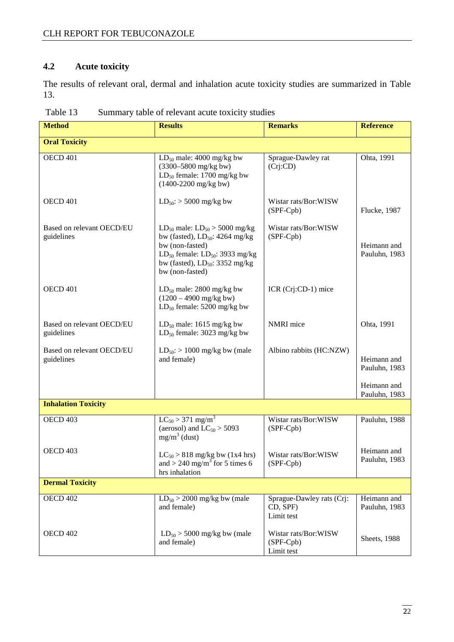#### **4.2 Acute toxicity**

The results of relevant oral, dermal and inhalation acute toxicity studies are summarized in Table 13.

| <b>Method</b>                           | <b>Results</b>                                                                                                                                                                                         | <b>Remarks</b>                                      | <b>Reference</b>             |
|-----------------------------------------|--------------------------------------------------------------------------------------------------------------------------------------------------------------------------------------------------------|-----------------------------------------------------|------------------------------|
| <b>Oral Toxicity</b>                    |                                                                                                                                                                                                        |                                                     |                              |
| OECD 401                                | $LD_{50}$ male: 4000 mg/kg bw<br>(3300-5800 mg/kg bw)<br>$LD_{50}$ female: 1700 mg/kg bw<br>$(1400-2200 \text{ mg/kg bw})$                                                                             | Sprague-Dawley rat<br>(Cri:CD)                      | Ohta, 1991                   |
| OECD <sub>401</sub>                     | $LD_{50}$ : > 5000 mg/kg bw                                                                                                                                                                            | Wistar rats/Bor:WISW<br>$(SPF-Cpb)$                 | <b>Flucke</b> , 1987         |
| Based on relevant OECD/EU<br>guidelines | $LD_{50}$ male: $LD_{50} > 5000$ mg/kg<br>bw (fasted), $LD_{50}$ : 4264 mg/kg<br>bw (non-fasted)<br>$LD_{50}$ female: $LD_{50}$ : 3933 mg/kg<br>bw (fasted), $LD_{50}$ : 3352 mg/kg<br>bw (non-fasted) | Wistar rats/Bor:WISW<br>$(SPF-Cpb)$                 | Heimann and<br>Pauluhn, 1983 |
| OECD 401                                | $LD_{50}$ male: 2800 mg/kg bw<br>$(1200 - 4900 \text{ mg/kg bw})$<br>$LD_{50}$ female: 5200 mg/kg bw                                                                                                   | ICR (Crj:CD-1) mice                                 |                              |
| Based on relevant OECD/EU<br>guidelines | $LD_{50}$ male: 1615 mg/kg bw<br>$LD_{50}$ female: 3023 mg/kg bw                                                                                                                                       | <b>NMRI</b> mice                                    | Ohta, 1991                   |
| Based on relevant OECD/EU<br>guidelines | $LD_{50}$ : > 1000 mg/kg bw (male<br>and female)                                                                                                                                                       | Albino rabbits (HC:NZW)                             | Heimann and<br>Pauluhn, 1983 |
|                                         |                                                                                                                                                                                                        |                                                     | Heimann and<br>Pauluhn, 1983 |
| <b>Inhalation Toxicity</b>              |                                                                                                                                                                                                        |                                                     |                              |
| OECD 403                                | $LC_{50}$ > 371 mg/m <sup>3</sup><br>(aerosol) and $LC_{50}$ > 5093<br>$mg/m^3$ (dust)                                                                                                                 | Wistar rats/Bor:WISW<br>(SPF-Cpb)                   | Pauluhn, 1988                |
| OECD 403                                | $LC_{50}$ > 818 mg/kg bw (1x4 hrs)<br>and > 240 mg/m <sup>3</sup> for 5 times 6<br>hrs inhalation                                                                                                      | Wistar rats/Bor:WISW<br>(SPF-Cpb)                   | Heimann and<br>Pauluhn, 1983 |
| <b>Dermal Toxicity</b>                  |                                                                                                                                                                                                        |                                                     |                              |
| <b>OECD 402</b>                         | $LD_{50}$ > 2000 mg/kg bw (male<br>and female)                                                                                                                                                         | Sprague-Dawley rats (Crj:<br>CD, SPF)<br>Limit test | Heimann and<br>Pauluhn, 1983 |
| OECD 402                                | $LD_{50}$ > 5000 mg/kg bw (male<br>and female)                                                                                                                                                         | Wistar rats/Bor:WISW<br>$(SPF-Cpb)$<br>Limit test   | <b>Sheets</b> , 1988         |

Table 13 Summary table of relevant acute toxicity studies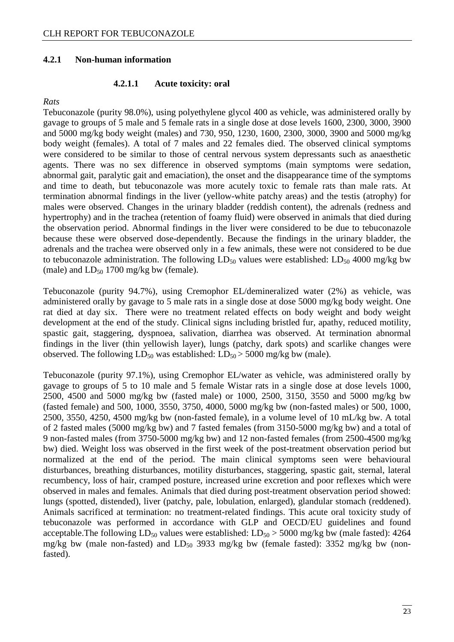#### **4.2.1 Non-human information**

#### **4.2.1.1 Acute toxicity: oral**

#### *Rats*

Tebuconazole (purity 98.0%), using polyethylene glycol 400 as vehicle, was administered orally by gavage to groups of 5 male and 5 female rats in a single dose at dose levels 1600, 2300, 3000, 3900 and 5000 mg/kg body weight (males) and 730, 950, 1230, 1600, 2300, 3000, 3900 and 5000 mg/kg body weight (females). A total of 7 males and 22 females died. The observed clinical symptoms were considered to be similar to those of central nervous system depressants such as anaesthetic agents. There was no sex difference in observed symptoms (main symptoms were sedation, abnormal gait, paralytic gait and emaciation), the onset and the disappearance time of the symptoms and time to death, but tebuconazole was more acutely toxic to female rats than male rats. At termination abnormal findings in the liver (yellow-white patchy areas) and the testis (atrophy) for males were observed. Changes in the urinary bladder (reddish content), the adrenals (redness and hypertrophy) and in the trachea (retention of foamy fluid) were observed in animals that died during the observation period. Abnormal findings in the liver were considered to be due to tebuconazole because these were observed dose-dependently. Because the findings in the urinary bladder, the adrenals and the trachea were observed only in a few animals, these were not considered to be due to tebuconazole administration. The following  $LD_{50}$  values were established:  $LD_{50}$  4000 mg/kg bw (male) and  $LD_{50}$  1700 mg/kg bw (female).

Tebuconazole (purity 94.7%), using Cremophor EL/demineralized water (2%) as vehicle, was administered orally by gavage to 5 male rats in a single dose at dose 5000 mg/kg body weight. One rat died at day six. There were no treatment related effects on body weight and body weight development at the end of the study. Clinical signs including bristled fur, apathy, reduced motility, spastic gait, staggering, dyspnoea, salivation, diarrhea was observed. At termination abnormal findings in the liver (thin yellowish layer), lungs (patchy, dark spots) and scarlike changes were observed. The following  $LD_{50}$  was established:  $LD_{50}$  > 5000 mg/kg bw (male).

Tebuconazole (purity 97.1%), using Cremophor EL/water as vehicle, was administered orally by gavage to groups of 5 to 10 male and 5 female Wistar rats in a single dose at dose levels 1000, 2500, 4500 and 5000 mg/kg bw (fasted male) or 1000, 2500, 3150, 3550 and 5000 mg/kg bw (fasted female) and 500, 1000, 3550, 3750, 4000, 5000 mg/kg bw (non-fasted males) or 500, 1000, 2500, 3550, 4250, 4500 mg/kg bw (non-fasted female), in a volume level of 10 mL/kg bw. A total of 2 fasted males (5000 mg/kg bw) and 7 fasted females (from 3150-5000 mg/kg bw) and a total of 9 non-fasted males (from 3750-5000 mg/kg bw) and 12 non-fasted females (from 2500-4500 mg/kg bw) died. Weight loss was observed in the first week of the post-treatment observation period but normalized at the end of the period. The main clinical symptoms seen were behavioural disturbances, breathing disturbances, motility disturbances, staggering, spastic gait, sternal, lateral recumbency, loss of hair, cramped posture, increased urine excretion and poor reflexes which were observed in males and females. Animals that died during post-treatment observation period showed: lungs (spotted, distended), liver (patchy, pale, lobulation, enlarged), glandular stomach (reddened). Animals sacrificed at termination: no treatment-related findings. This acute oral toxicity study of tebuconazole was performed in accordance with GLP and OECD/EU guidelines and found acceptable. The following  $LD_{50}$  values were established:  $LD_{50} > 5000$  mg/kg bw (male fasted): 4264 mg/kg bw (male non-fasted) and  $LD_{50}$  3933 mg/kg bw (female fasted): 3352 mg/kg bw (nonfasted).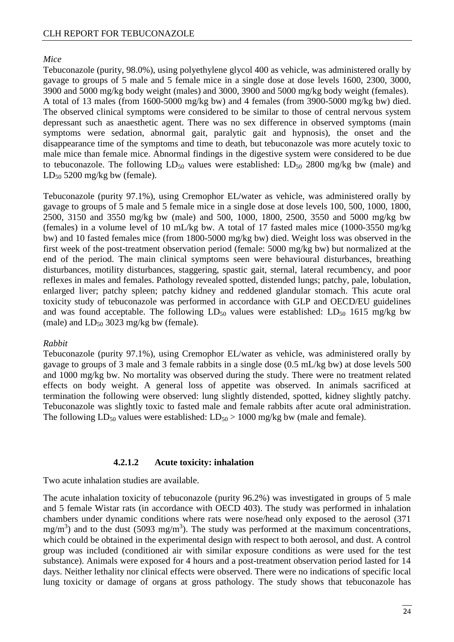#### *Mice*

Tebuconazole (purity, 98.0%), using polyethylene glycol 400 as vehicle, was administered orally by gavage to groups of 5 male and 5 female mice in a single dose at dose levels 1600, 2300, 3000, 3900 and 5000 mg/kg body weight (males) and 3000, 3900 and 5000 mg/kg body weight (females). A total of 13 males (from 1600-5000 mg/kg bw) and 4 females (from 3900-5000 mg/kg bw) died. The observed clinical symptoms were considered to be similar to those of central nervous system depressant such as anaesthetic agent. There was no sex difference in observed symptoms (main symptoms were sedation, abnormal gait, paralytic gait and hypnosis), the onset and the disappearance time of the symptoms and time to death, but tebuconazole was more acutely toxic to male mice than female mice. Abnormal findings in the digestive system were considered to be due to tebuconazole. The following  $LD_{50}$  values were established:  $LD_{50}$  2800 mg/kg bw (male) and  $LD_{50}$  5200 mg/kg bw (female).

Tebuconazole (purity 97.1%), using Cremophor EL/water as vehicle, was administered orally by gavage to groups of 5 male and 5 female mice in a single dose at dose levels 100, 500, 1000, 1800, 2500, 3150 and 3550 mg/kg bw (male) and 500, 1000, 1800, 2500, 3550 and 5000 mg/kg bw (females) in a volume level of 10 mL/kg bw. A total of 17 fasted males mice (1000-3550 mg/kg bw) and 10 fasted females mice (from 1800-5000 mg/kg bw) died. Weight loss was observed in the first week of the post-treatment observation period (female: 5000 mg/kg bw) but normalized at the end of the period. The main clinical symptoms seen were behavioural disturbances, breathing disturbances, motility disturbances, staggering, spastic gait, sternal, lateral recumbency, and poor reflexes in males and females. Pathology revealed spotted, distended lungs; patchy, pale, lobulation, enlarged liver; patchy spleen; patchy kidney and reddened glandular stomach. This acute oral toxicity study of tebuconazole was performed in accordance with GLP and OECD/EU guidelines and was found acceptable. The following  $LD_{50}$  values were established:  $LD_{50}$  1615 mg/kg bw (male) and  $LD_{50}$  3023 mg/kg bw (female).

#### *Rabbit*

Tebuconazole (purity 97.1%), using Cremophor EL/water as vehicle, was administered orally by gavage to groups of 3 male and 3 female rabbits in a single dose (0.5 mL/kg bw) at dose levels 500 and 1000 mg/kg bw. No mortality was observed during the study. There were no treatment related effects on body weight. A general loss of appetite was observed. In animals sacrificed at termination the following were observed: lung slightly distended, spotted, kidney slightly patchy. Tebuconazole was slightly toxic to fasted male and female rabbits after acute oral administration. The following  $LD_{50}$  values were established:  $LD_{50} > 1000$  mg/kg bw (male and female).

#### **4.2.1.2 Acute toxicity: inhalation**

Two acute inhalation studies are available.

The acute inhalation toxicity of tebuconazole (purity 96.2%) was investigated in groups of 5 male and 5 female Wistar rats (in accordance with OECD 403). The study was performed in inhalation chambers under dynamic conditions where rats were nose/head only exposed to the aerosol (371  $mg/m<sup>3</sup>$ ) and to the dust (5093 mg/m<sup>3</sup>). The study was performed at the maximum concentrations, which could be obtained in the experimental design with respect to both aerosol, and dust. A control group was included (conditioned air with similar exposure conditions as were used for the test substance). Animals were exposed for 4 hours and a post-treatment observation period lasted for 14 days. Neither lethality nor clinical effects were observed. There were no indications of specific local lung toxicity or damage of organs at gross pathology. The study shows that tebuconazole has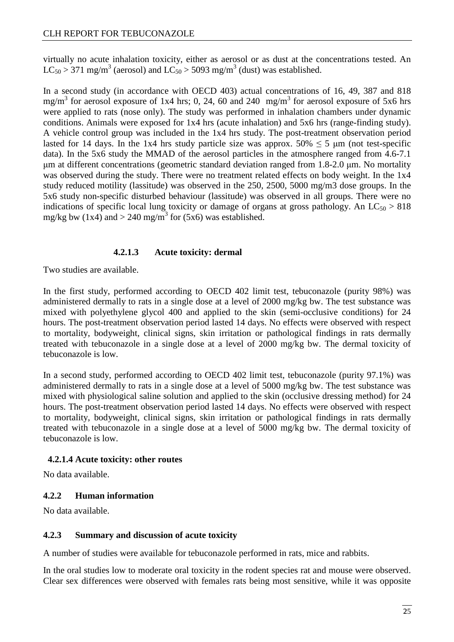virtually no acute inhalation toxicity, either as aerosol or as dust at the concentrations tested. An  $LC_{50} > 371$  mg/m<sup>3</sup> (aerosol) and  $LC_{50} > 5093$  mg/m<sup>3</sup> (dust) was established.

In a second study (in accordance with OECD 403) actual concentrations of 16, 49, 387 and 818 mg/m<sup>3</sup> for aerosol exposure of 1x4 hrs; 0, 24, 60 and 240 mg/m<sup>3</sup> for aerosol exposure of 5x6 hrs were applied to rats (nose only). The study was performed in inhalation chambers under dynamic conditions. Animals were exposed for 1x4 hrs (acute inhalation) and 5x6 hrs (range-finding study). A vehicle control group was included in the 1x4 hrs study. The post-treatment observation period lasted for 14 days. In the 1x4 hrs study particle size was approx.  $50\% \le 5 \mu m$  (not test-specific data). In the 5x6 study the MMAD of the aerosol particles in the atmosphere ranged from 4.6-7.1 µm at different concentrations (geometric standard deviation ranged from 1.8-2.0 µm. No mortality was observed during the study. There were no treatment related effects on body weight. In the 1x4 study reduced motility (lassitude) was observed in the 250, 2500, 5000 mg/m3 dose groups. In the 5x6 study non-specific disturbed behaviour (lassitude) was observed in all groups. There were no indications of specific local lung toxicity or damage of organs at gross pathology. An  $LC_{50} > 818$ mg/kg bw  $(1x4)$  and  $> 240$  mg/m<sup>3</sup> for  $(5x6)$  was established.

#### **4.2.1.3 Acute toxicity: dermal**

Two studies are available.

In the first study, performed according to OECD 402 limit test, tebuconazole (purity 98%) was administered dermally to rats in a single dose at a level of 2000 mg/kg bw. The test substance was mixed with polyethylene glycol 400 and applied to the skin (semi-occlusive conditions) for 24 hours. The post-treatment observation period lasted 14 days. No effects were observed with respect to mortality, bodyweight, clinical signs, skin irritation or pathological findings in rats dermally treated with tebuconazole in a single dose at a level of 2000 mg/kg bw. The dermal toxicity of tebuconazole is low.

In a second study, performed according to OECD 402 limit test, tebuconazole (purity 97.1%) was administered dermally to rats in a single dose at a level of 5000 mg/kg bw. The test substance was mixed with physiological saline solution and applied to the skin (occlusive dressing method) for 24 hours. The post-treatment observation period lasted 14 days. No effects were observed with respect to mortality, bodyweight, clinical signs, skin irritation or pathological findings in rats dermally treated with tebuconazole in a single dose at a level of 5000 mg/kg bw. The dermal toxicity of tebuconazole is low.

#### **4.2.1.4 Acute toxicity: other routes**

No data available.

#### **4.2.2 Human information**

No data available.

#### **4.2.3 Summary and discussion of acute toxicity**

A number of studies were available for tebuconazole performed in rats, mice and rabbits.

In the oral studies low to moderate oral toxicity in the rodent species rat and mouse were observed. Clear sex differences were observed with females rats being most sensitive, while it was opposite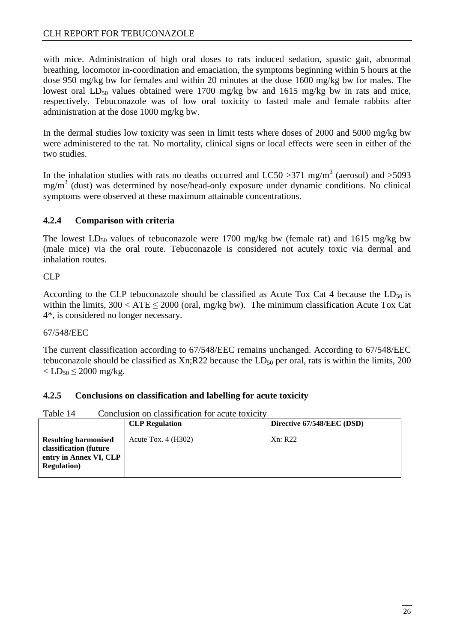with mice. Administration of high oral doses to rats induced sedation, spastic gait, abnormal breathing, locomotor in-coordination and emaciation, the symptoms beginning within 5 hours at the dose 950 mg/kg bw for females and within 20 minutes at the dose 1600 mg/kg bw for males. The lowest oral  $LD_{50}$  values obtained were 1700 mg/kg bw and 1615 mg/kg bw in rats and mice, respectively. Tebuconazole was of low oral toxicity to fasted male and female rabbits after administration at the dose 1000 mg/kg bw.

In the dermal studies low toxicity was seen in limit tests where doses of 2000 and 5000 mg/kg bw were administered to the rat. No mortality, clinical signs or local effects were seen in either of the two studies.

In the inhalation studies with rats no deaths occurred and LC50 > 371 mg/m<sup>3</sup> (aerosol) and > 5093 mg/m<sup>3</sup> (dust) was determined by nose/head-only exposure under dynamic conditions. No clinical symptoms were observed at these maximum attainable concentrations.

#### **4.2.4 Comparison with criteria**

The lowest  $LD_{50}$  values of tebuconazole were 1700 mg/kg bw (female rat) and 1615 mg/kg bw (male mice) via the oral route. Tebuconazole is considered not acutely toxic via dermal and inhalation routes.

#### CLP

According to the CLP tebuconazole should be classified as Acute Tox Cat 4 because the  $LD_{50}$  is within the limits,  $300 < ATE \le 2000$  (oral, mg/kg bw). The minimum classification Acute Tox Cat 4\*, is considered no longer necessary.

#### 67/548/EEC

The current classification according to 67/548/EEC remains unchanged. According to 67/548/EEC tebuconazole should be classified as  $Xn;R22$  because the  $LD_{50}$  per oral, rats is within the limits, 200  $\langle$  LD<sub>50</sub>  $\leq$  2000 mg/kg.

#### **4.2.5 Conclusions on classification and labelling for acute toxicity**

Table 14 Conclusion on classification for acute toxicity

| COMPLISION ON SIGNALLY WALLER LOT WY WAY TOILLY                                                        |                       |                            |  |  |
|--------------------------------------------------------------------------------------------------------|-----------------------|----------------------------|--|--|
|                                                                                                        | <b>CLP</b> Regulation | Directive 67/548/EEC (DSD) |  |  |
| <b>Resulting harmonised</b><br>classification (future<br>entry in Annex VI, CLP<br><b>Regulation</b> ) | Acute Tox. $4(H302)$  | Xn: R22                    |  |  |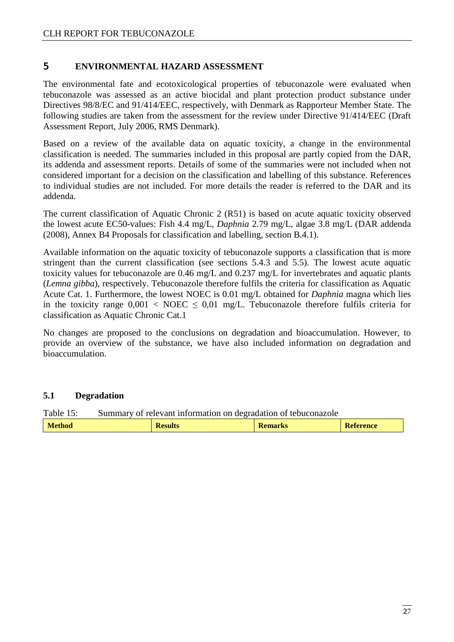#### 5 **ENVIRONMENTAL HAZARD ASSESSMENT**

The environmental fate and ecotoxicological properties of tebuconazole were evaluated when tebuconazole was assessed as an active biocidal and plant protection product substance under Directives 98/8/EC and 91/414/EEC, respectively, with Denmark as Rapporteur Member State. The following studies are taken from the assessment for the review under Directive 91/414/EEC (Draft Assessment Report, July 2006, RMS Denmark).

Based on a review of the available data on aquatic toxicity, a change in the environmental classification is needed. The summaries included in this proposal are partly copied from the DAR, its addenda and assessment reports. Details of some of the summaries were not included when not considered important for a decision on the classification and labelling of this substance. References to individual studies are not included. For more details the reader is referred to the DAR and its addenda.

The current classification of Aquatic Chronic 2 (R51) is based on acute aquatic toxicity observed the lowest acute EC50-values: Fish 4.4 mg/L, *Daphnia* 2.79 mg/L, algae 3.8 mg/L (DAR addenda (2008), Annex B4 Proposals for classification and labelling, section B.4.1).

Available information on the aquatic toxicity of tebuconazole supports a classification that is more stringent than the current classification (see sections 5.4.3 and 5.5). The lowest acute aquatic toxicity values for tebuconazole are 0.46 mg/L and 0.237 mg/L for invertebrates and aquatic plants (*Lemna gibba*), respectively. Tebuconazole therefore fulfils the criteria for classification as Aquatic Acute Cat. 1. Furthermore, the lowest NOEC is 0.01 mg/L obtained for *Daphnia* magna which lies in the toxicity range  $0.001 < \text{NOEC} \leq 0.01 \text{ mg/L}$ . Tebuconazole therefore fulfils criteria for classification as Aquatic Chronic Cat.1

No changes are proposed to the conclusions on degradation and bioaccumulation. However, to provide an overview of the substance, we have also included information on degradation and bioaccumulation.

#### **5.1 Degradation**

Table 15: Summary of relevant information on degradation of tebuconazole

| еннои<br><b>INCOURS</b> | m<br><b>INCIHAL NS</b> | <b>rence</b> |
|-------------------------|------------------------|--------------|
|-------------------------|------------------------|--------------|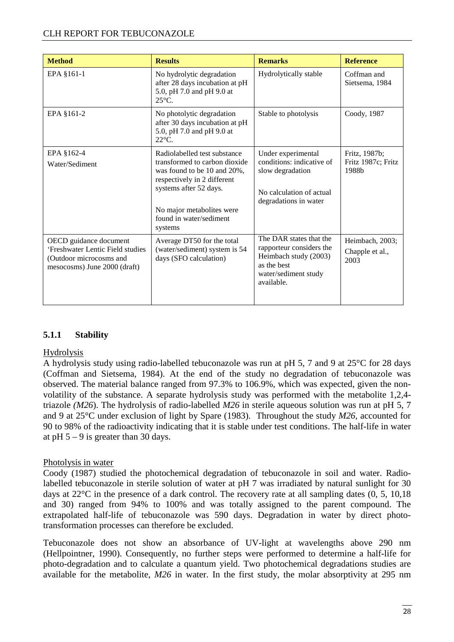| <b>Method</b>                                                                                                         | <b>Results</b>                                                                                                                                                                                                           | <b>Remarks</b>                                                                                                                    | <b>Reference</b>                             |
|-----------------------------------------------------------------------------------------------------------------------|--------------------------------------------------------------------------------------------------------------------------------------------------------------------------------------------------------------------------|-----------------------------------------------------------------------------------------------------------------------------------|----------------------------------------------|
| EPA §161-1                                                                                                            | No hydrolytic degradation<br>after 28 days incubation at pH<br>5.0, pH 7.0 and pH 9.0 at<br>$25^{\circ}$ C.                                                                                                              | Hydrolytically stable                                                                                                             | Coffman and<br>Sietsema, 1984                |
| EPA §161-2                                                                                                            | No photolytic degradation<br>after 30 days incubation at pH<br>5.0, pH 7.0 and pH 9.0 at<br>$22^{\circ}$ C.                                                                                                              | Stable to photolysis                                                                                                              | Coody, 1987                                  |
| EPA §162-4<br>Water/Sediment                                                                                          | Radiolabelled test substance<br>transformed to carbon dioxide<br>was found to be 10 and 20%,<br>respectively in 2 different<br>systems after 52 days.<br>No major metabolites were<br>found in water/sediment<br>systems | Under experimental<br>conditions: indicative of<br>slow degradation<br>No calculation of actual<br>degradations in water          | Fritz, 1987b;<br>Fritz 1987c; Fritz<br>1988b |
| OECD guidance document<br>'Freshwater Lentic Field studies<br>(Outdoor microcosms and<br>mesocosms) June 2000 (draft) | Average DT50 for the total<br>(water/sediment) system is 54<br>days (SFO calculation)                                                                                                                                    | The DAR states that the<br>rapporteur considers the<br>Heimbach study (2003)<br>as the best<br>water/sediment study<br>available. | Heimbach, 2003;<br>Chapple et al.,<br>2003   |

#### **5.1.1 Stability**

#### Hydrolysis

A hydrolysis study using radio-labelled tebuconazole was run at pH 5, 7 and 9 at 25°C for 28 days (Coffman and Sietsema, 1984). At the end of the study no degradation of tebuconazole was observed. The material balance ranged from 97.3% to 106.9%, which was expected, given the nonvolatility of the substance. A separate hydrolysis study was performed with the metabolite 1,2,4 triazole *(M26*). The hydrolysis of radio-labelled *M26* in sterile aqueous solution was run at pH 5, 7 and 9 at 25°C under exclusion of light by Spare (1983). Throughout the study *M26,* accounted for 90 to 98% of the radioactivity indicating that it is stable under test conditions. The half-life in water at pH  $5 - 9$  is greater than 30 days.

#### Photolysis in water

Coody (1987) studied the photochemical degradation of tebuconazole in soil and water. Radiolabelled tebuconazole in sterile solution of water at pH 7 was irradiated by natural sunlight for 30 days at 22°C in the presence of a dark control. The recovery rate at all sampling dates (0, 5, 10,18 and 30) ranged from 94% to 100% and was totally assigned to the parent compound. The extrapolated half-life of tebuconazole was 590 days. Degradation in water by direct phototransformation processes can therefore be excluded.

Tebuconazole does not show an absorbance of UV-light at wavelengths above 290 nm (Hellpointner, 1990). Consequently, no further steps were performed to determine a half-life for photo-degradation and to calculate a quantum yield. Two photochemical degradations studies are available for the metabolite, *M26* in water. In the first study, the molar absorptivity at 295 nm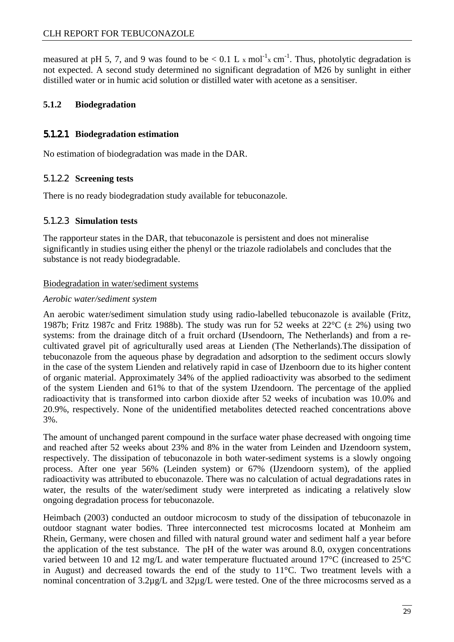measured at pH 5, 7, and 9 was found to be  $< 0.1$  L x mol<sup>-1</sup>x cm<sup>-1</sup>. Thus, photolytic degradation is not expected. A second study determined no significant degradation of M26 by sunlight in either distilled water or in humic acid solution or distilled water with acetone as a sensitiser.

#### **5.1.2 Biodegradation**

#### 5.1.2.1 **Biodegradation estimation**

No estimation of biodegradation was made in the DAR.

#### 5.1.2.2 **Screening tests**

There is no ready biodegradation study available for tebuconazole.

#### 5.1.2.3 **Simulation tests**

The rapporteur states in the DAR, that tebuconazole is persistent and does not mineralise significantly in studies using either the phenyl or the triazole radiolabels and concludes that the substance is not ready biodegradable.

#### Biodegradation in water/sediment systems

#### *Aerobic water/sediment system*

An aerobic water/sediment simulation study using radio-labelled tebuconazole is available (Fritz, 1987b; Fritz 1987c and Fritz 1988b). The study was run for 52 weeks at  $22^{\circ}C \ (\pm 2\%)$  using two systems: from the drainage ditch of a fruit orchard (IJsendoorn, The Netherlands) and from a recultivated gravel pit of agriculturally used areas at Lienden (The Netherlands).The dissipation of tebuconazole from the aqueous phase by degradation and adsorption to the sediment occurs slowly in the case of the system Lienden and relatively rapid in case of IJzenboorn due to its higher content of organic material. Approximately 34% of the applied radioactivity was absorbed to the sediment of the system Lienden and 61% to that of the system IJzendoorn. The percentage of the applied radioactivity that is transformed into carbon dioxide after 52 weeks of incubation was 10.0% and 20.9%, respectively. None of the unidentified metabolites detected reached concentrations above 3%.

The amount of unchanged parent compound in the surface water phase decreased with ongoing time and reached after 52 weeks about 23% and 8% in the water from Leinden and IJzendoorn system, respectively. The dissipation of tebuconazole in both water-sediment systems is a slowly ongoing process. After one year 56% (Leinden system) or 67% (IJzendoorn system), of the applied radioactivity was attributed to ebuconazole. There was no calculation of actual degradations rates in water, the results of the water/sediment study were interpreted as indicating a relatively slow ongoing degradation process for tebuconazole.

Heimbach (2003) conducted an outdoor microcosm to study of the dissipation of tebuconazole in outdoor stagnant water bodies. Three interconnected test microcosms located at Monheim am Rhein, Germany, were chosen and filled with natural ground water and sediment half a year before the application of the test substance. The pH of the water was around 8.0, oxygen concentrations varied between 10 and 12 mg/L and water temperature fluctuated around 17°C (increased to 25°C in August) and decreased towards the end of the study to 11°C. Two treatment levels with a nominal concentration of 3.2µg/L and 32µg/L were tested. One of the three microcosms served as a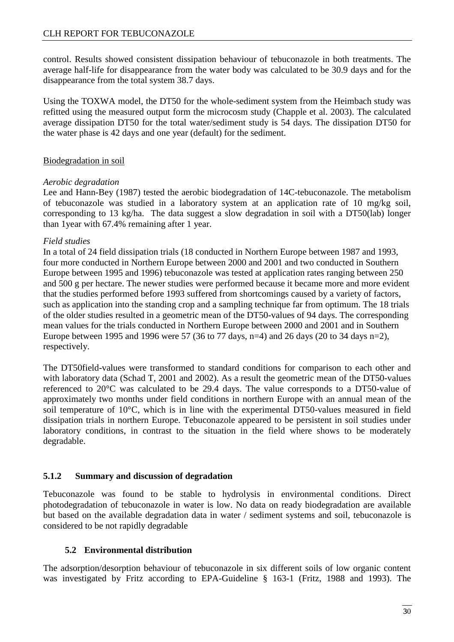control. Results showed consistent dissipation behaviour of tebuconazole in both treatments. The average half-life for disappearance from the water body was calculated to be 30.9 days and for the disappearance from the total system 38.7 days.

Using the TOXWA model, the DT50 for the whole-sediment system from the Heimbach study was refitted using the measured output form the microcosm study (Chapple et al. 2003). The calculated average dissipation DT50 for the total water/sediment study is 54 days. The dissipation DT50 for the water phase is 42 days and one year (default) for the sediment.

#### Biodegradation in soil

#### *Aerobic degradation*

Lee and Hann-Bey (1987) tested the aerobic biodegradation of 14C-tebuconazole. The metabolism of tebuconazole was studied in a laboratory system at an application rate of 10 mg/kg soil, corresponding to 13 kg/ha. The data suggest a slow degradation in soil with a DT50(lab) longer than 1year with 67.4% remaining after 1 year.

#### *Field studies*

In a total of 24 field dissipation trials (18 conducted in Northern Europe between 1987 and 1993, four more conducted in Northern Europe between 2000 and 2001 and two conducted in Southern Europe between 1995 and 1996) tebuconazole was tested at application rates ranging between 250 and 500 g per hectare. The newer studies were performed because it became more and more evident that the studies performed before 1993 suffered from shortcomings caused by a variety of factors, such as application into the standing crop and a sampling technique far from optimum. The 18 trials of the older studies resulted in a geometric mean of the DT50-values of 94 days. The corresponding mean values for the trials conducted in Northern Europe between 2000 and 2001 and in Southern Europe between 1995 and 1996 were 57 (36 to 77 days, n=4) and 26 days (20 to 34 days n=2), respectively.

The DT50field-values were transformed to standard conditions for comparison to each other and with laboratory data (Schad T, 2001 and 2002). As a result the geometric mean of the DT50-values referenced to 20°C was calculated to be 29.4 days. The value corresponds to a DT50-value of approximately two months under field conditions in northern Europe with an annual mean of the soil temperature of 10°C, which is in line with the experimental DT50-values measured in field dissipation trials in northern Europe. Tebuconazole appeared to be persistent in soil studies under laboratory conditions, in contrast to the situation in the field where shows to be moderately degradable.

#### **5.1.2 Summary and discussion of degradation**

Tebuconazole was found to be stable to hydrolysis in environmental conditions. Direct photodegradation of tebuconazole in water is low. No data on ready biodegradation are available but based on the available degradation data in water / sediment systems and soil, tebuconazole is considered to be not rapidly degradable

#### **5.2 Environmental distribution**

The adsorption/desorption behaviour of tebuconazole in six different soils of low organic content was investigated by Fritz according to EPA-Guideline § 163-1 (Fritz, 1988 and 1993). The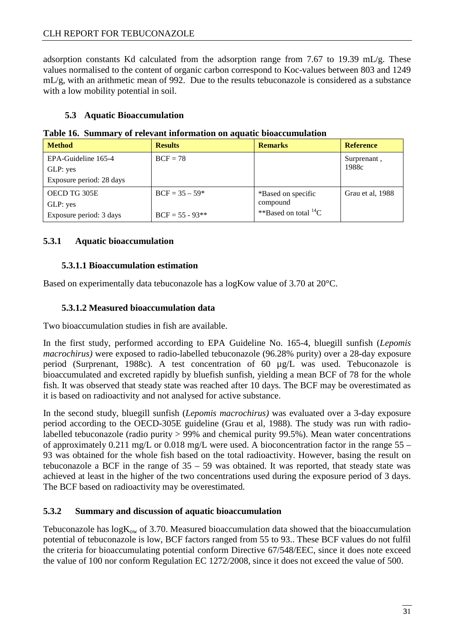adsorption constants Kd calculated from the adsorption range from 7.67 to 19.39 mL/g. These values normalised to the content of organic carbon correspond to Koc-values between 803 and 1249 mL/g, with an arithmetic mean of 992. Due to the results tebuconazole is considered as a substance with a low mobility potential in soil.

#### **5.3 Aquatic Bioaccumulation**

**Table 16. Summary of relevant information on aquatic bioaccumulation** 

| <b>Method</b>            | <b>Results</b>    | <b>Remarks</b>              | <b>Reference</b> |
|--------------------------|-------------------|-----------------------------|------------------|
| EPA-Guideline 165-4      | $BCF = 78$        |                             | Surprenant,      |
| GLP: yes                 |                   |                             | 1988c            |
| Exposure period: 28 days |                   |                             |                  |
| OECD TG 305E             | $BCF = 35 - 59*$  | *Based on specific          | Grau et al, 1988 |
| GLP: yes                 |                   | compound                    |                  |
| Exposure period: 3 days  | $BCF = 55 - 93**$ | **Based on total ${}^{14}C$ |                  |

#### **5.3.1 Aquatic bioaccumulation**

#### **5.3.1.1 Bioaccumulation estimation**

Based on experimentally data tebuconazole has a logKow value of 3.70 at 20°C.

#### **5.3.1.2 Measured bioaccumulation data**

Two bioaccumulation studies in fish are available.

In the first study, performed according to EPA Guideline No. 165-4, bluegill sunfish (*Lepomis macrochirus)* were exposed to radio-labelled tebuconazole (96.28% purity) over a 28-day exposure period (Surprenant, 1988c). A test concentration of 60 µg/L was used. Tebuconazole is bioaccumulated and excreted rapidly by bluefish sunfish, yielding a mean BCF of 78 for the whole fish. It was observed that steady state was reached after 10 days. The BCF may be overestimated as it is based on radioactivity and not analysed for active substance.

In the second study, bluegill sunfish (*Lepomis macrochirus)* was evaluated over a 3-day exposure period according to the OECD-305E guideline (Grau et al, 1988). The study was run with radiolabelled tebuconazole (radio purity > 99% and chemical purity 99.5%). Mean water concentrations of approximately 0.211 mg/L or 0.018 mg/L were used. A bioconcentration factor in the range 55 – 93 was obtained for the whole fish based on the total radioactivity. However, basing the result on tebuconazole a BCF in the range of  $35 - 59$  was obtained. It was reported, that steady state was achieved at least in the higher of the two concentrations used during the exposure period of 3 days. The BCF based on radioactivity may be overestimated.

#### **5.3.2 Summary and discussion of aquatic bioaccumulation**

Tebuconazole has  $logK_{ow}$  of 3.70. Measured bioaccumulation data showed that the bioaccumulation potential of tebuconazole is low, BCF factors ranged from 55 to 93.. These BCF values do not fulfil the criteria for bioaccumulating potential conform Directive 67/548/EEC, since it does note exceed the value of 100 nor conform Regulation EC 1272/2008, since it does not exceed the value of 500.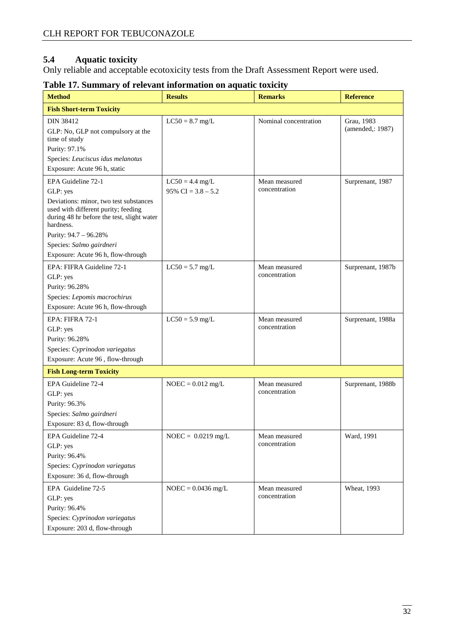#### **5.4 Aquatic toxicity**

Only reliable and acceptable ecotoxicity tests from the Draft Assessment Report were used.

| <b>Method</b>                                                                                                               | <b>Results</b>       | <b>Remarks</b>                 | <b>Reference</b>  |
|-----------------------------------------------------------------------------------------------------------------------------|----------------------|--------------------------------|-------------------|
| <b>Fish Short-term Toxicity</b>                                                                                             |                      |                                |                   |
| <b>DIN 38412</b>                                                                                                            | $LC50 = 8.7$ mg/L    | Nominal concentration          | Grau, 1983        |
| GLP: No, GLP not compulsory at the                                                                                          |                      |                                | (amended,: 1987)  |
| time of study                                                                                                               |                      |                                |                   |
| Purity: 97.1%                                                                                                               |                      |                                |                   |
| Species: Leuciscus idus melanotus                                                                                           |                      |                                |                   |
| Exposure: Acute 96 h, static                                                                                                |                      |                                |                   |
| EPA Guideline 72-1                                                                                                          | $LC50 = 4.4$ mg/L    | Mean measured<br>concentration | Surprenant, 1987  |
| GLP: yes                                                                                                                    | 95% CI = $3.8 - 5.2$ |                                |                   |
| Deviations: minor, two test substances<br>used with different purity; feeding<br>during 48 hr before the test, slight water |                      |                                |                   |
| hardness.                                                                                                                   |                      |                                |                   |
| Purity: 94.7 - 96.28%                                                                                                       |                      |                                |                   |
| Species: Salmo gairdneri                                                                                                    |                      |                                |                   |
| Exposure: Acute 96 h, flow-through                                                                                          |                      |                                |                   |
| EPA: FIFRA Guideline 72-1                                                                                                   | $LC50 = 5.7$ mg/L    | Mean measured                  | Surprenant, 1987b |
| GLP: yes                                                                                                                    |                      | concentration                  |                   |
| Purity: 96.28%                                                                                                              |                      |                                |                   |
| Species: Lepomis macrochirus                                                                                                |                      |                                |                   |
| Exposure: Acute 96 h, flow-through                                                                                          |                      |                                |                   |
| EPA: FIFRA 72-1                                                                                                             | $LC50 = 5.9$ mg/L    | Mean measured                  | Surprenant, 1988a |
| GLP: yes                                                                                                                    |                      | concentration                  |                   |
| Purity: 96.28%                                                                                                              |                      |                                |                   |
| Species: Cyprinodon variegatus                                                                                              |                      |                                |                   |
| Exposure: Acute 96, flow-through                                                                                            |                      |                                |                   |
| <b>Fish Long-term Toxicity</b>                                                                                              |                      |                                |                   |
| EPA Guideline 72-4                                                                                                          | $NOEC = 0.012$ mg/L  | Mean measured                  | Surprenant, 1988b |
| GLP: yes                                                                                                                    |                      | concentration                  |                   |
| Purity: 96.3%                                                                                                               |                      |                                |                   |
| Species: Salmo gairdneri                                                                                                    |                      |                                |                   |
| Exposure: 83 d, flow-through                                                                                                |                      |                                |                   |
| EPA Guideline 72-4                                                                                                          | $NOEC = 0.0219$ mg/L | Mean measured                  | Ward, 1991        |
| GLP: yes                                                                                                                    |                      | concentration                  |                   |
| Purity: 96.4%                                                                                                               |                      |                                |                   |
| Species: Cyprinodon variegatus                                                                                              |                      |                                |                   |
| Exposure: 36 d, flow-through                                                                                                |                      |                                |                   |
| EPA Guideline 72-5                                                                                                          | $NOEC = 0.0436$ mg/L | Mean measured                  | Wheat, 1993       |
| GLP: yes                                                                                                                    |                      | concentration                  |                   |
| Purity: 96.4%                                                                                                               |                      |                                |                   |
| Species: Cyprinodon variegatus                                                                                              |                      |                                |                   |
| Exposure: 203 d, flow-through                                                                                               |                      |                                |                   |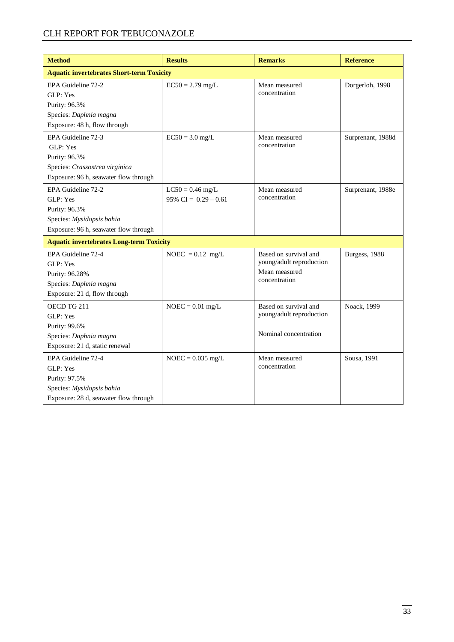### CLH REPORT FOR TEBUCONAZOLE

| <b>Method</b>                                    | <b>Results</b>          | <b>Remarks</b>                 | <b>Reference</b>  |  |
|--------------------------------------------------|-------------------------|--------------------------------|-------------------|--|
| <b>Aquatic invertebrates Short-term Toxicity</b> |                         |                                |                   |  |
| EPA Guideline 72-2                               | $EC50 = 2.79$ mg/L      | Mean measured                  | Dorgerloh, 1998   |  |
| GLP: Yes                                         |                         | concentration                  |                   |  |
| Purity: 96.3%                                    |                         |                                |                   |  |
| Species: Daphnia magna                           |                         |                                |                   |  |
| Exposure: 48 h, flow through                     |                         |                                |                   |  |
| EPA Guideline 72-3                               | $EC50 = 3.0$ mg/L       | Mean measured                  | Surprenant, 1988d |  |
| GLP: Yes                                         |                         | concentration                  |                   |  |
| Purity: 96.3%                                    |                         |                                |                   |  |
| Species: Crassostrea virginica                   |                         |                                |                   |  |
| Exposure: 96 h, seawater flow through            |                         |                                |                   |  |
| EPA Guideline 72-2                               | $LC50 = 0.46$ mg/L      | Mean measured                  | Surprenant, 1988e |  |
| GLP: Yes                                         | $95\%$ CI = 0.29 - 0.61 | concentration                  |                   |  |
| Purity: 96.3%                                    |                         |                                |                   |  |
| Species: Mysidopsis bahia                        |                         |                                |                   |  |
| Exposure: 96 h, seawater flow through            |                         |                                |                   |  |
| <b>Aquatic invertebrates Long-term Toxicity</b>  |                         |                                |                   |  |
| EPA Guideline 72-4                               | NOEC = $0.12$ mg/L      | Based on survival and          | Burgess, 1988     |  |
| GLP: Yes                                         |                         | young/adult reproduction       |                   |  |
| Purity: 96.28%                                   |                         | Mean measured<br>concentration |                   |  |
| Species: Daphnia magna                           |                         |                                |                   |  |
| Exposure: 21 d, flow through                     |                         |                                |                   |  |
| OECD TG 211                                      | $NOEC = 0.01$ mg/L      | Based on survival and          | Noack, 1999       |  |
| GLP: Yes                                         |                         | young/adult reproduction       |                   |  |
| Purity: 99.6%                                    |                         |                                |                   |  |
| Species: Daphnia magna                           |                         | Nominal concentration          |                   |  |
| Exposure: 21 d, static renewal                   |                         |                                |                   |  |
| EPA Guideline 72-4                               | $NOEC = 0.035$ mg/L     | Mean measured                  | Sousa, 1991       |  |
| GLP: Yes                                         |                         | concentration                  |                   |  |
| Purity: 97.5%                                    |                         |                                |                   |  |
| Species: Mysidopsis bahia                        |                         |                                |                   |  |
| Exposure: 28 d, seawater flow through            |                         |                                |                   |  |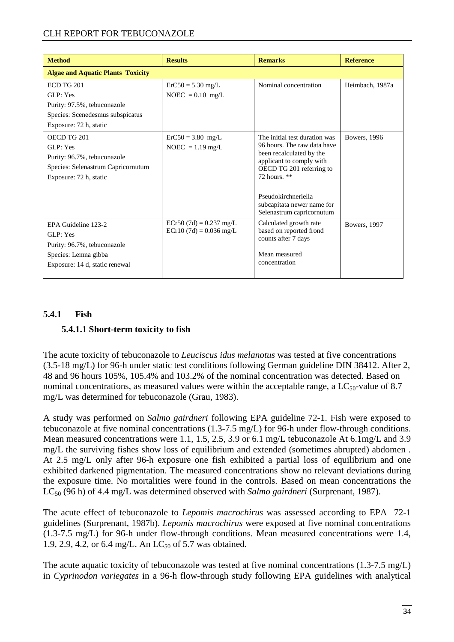#### CLH REPORT FOR TEBUCONAZOLE

| <b>Method</b>                                                                                                              | <b>Results</b>                                        | <b>Remarks</b>                                                                                                                                                                                                                                       | <b>Reference</b> |
|----------------------------------------------------------------------------------------------------------------------------|-------------------------------------------------------|------------------------------------------------------------------------------------------------------------------------------------------------------------------------------------------------------------------------------------------------------|------------------|
| <b>Algae and Aquatic Plants Toxicity</b>                                                                                   |                                                       |                                                                                                                                                                                                                                                      |                  |
| <b>ECD TG 201</b><br>GLP: Yes<br>Purity: 97.5%, tebuconazole<br>Species: Scenedesmus subspicatus<br>Exposure: 72 h, static | $ErC50 = 5.30$ mg/L<br>NOEC = $0.10$ mg/L             | Nominal concentration                                                                                                                                                                                                                                | Heimbach, 1987a  |
| OECD TG 201<br>GLP: Yes<br>Purity: 96.7%, tebuconazole<br>Species: Selenastrum Capricornutum<br>Exposure: 72 h, static     | $ErC50 = 3.80$ mg/L<br>$NOEC = 1.19$ mg/L             | The initial test duration was<br>96 hours. The raw data have<br>been recalculated by the<br>applicant to comply with<br>OECD TG 201 referring to<br>72 hours. $**$<br>Pseudokirchneriella<br>subcapitata newer name for<br>Selenastrum capricornutum | Bowers, 1996     |
| EPA Guideline 123-2<br>GLP: Yes<br>Purity: 96.7%, tebuconazole<br>Species: Lemna gibba<br>Exposure: 14 d, static renewal   | ECr50 $(7d) = 0.237$ mg/L<br>$ECr10(7d) = 0.036$ mg/L | Calculated growth rate<br>based on reported frond<br>counts after 7 days<br>Mean measured<br>concentration                                                                                                                                           | Bowers, 1997     |

#### **5.4.1 Fish**

#### **5.4.1.1 Short-term toxicity to fish**

The acute toxicity of tebuconazole to *Leuciscus idus melanotus* was tested at five concentrations (3.5-18 mg/L) for 96-h under static test conditions following German guideline DIN 38412. After 2, 48 and 96 hours 105%, 105.4% and 103.2% of the nominal concentration was detected. Based on nominal concentrations, as measured values were within the acceptable range, a  $LC_{50}$ -value of 8.7 mg/L was determined for tebuconazole (Grau, 1983).

A study was performed on *Salmo gairdneri* following EPA guideline 72-1. Fish were exposed to tebuconazole at five nominal concentrations (1.3-7.5 mg/L) for 96-h under flow-through conditions. Mean measured concentrations were 1.1, 1.5, 2.5, 3.9 or 6.1 mg/L tebuconazole At 6.1mg/L and 3.9 mg/L the surviving fishes show loss of equilibrium and extended (sometimes abrupted) abdomen . At 2.5 mg/L only after 96-h exposure one fish exhibited a partial loss of equilibrium and one exhibited darkened pigmentation. The measured concentrations show no relevant deviations during the exposure time. No mortalities were found in the controls. Based on mean concentrations the LC50 (96 h) of 4.4 mg/L was determined observed with *Salmo gairdneri* (Surprenant, 1987).

The acute effect of tebuconazole to *Lepomis macrochirus* was assessed according to EPA 72-1 guidelines (Surprenant, 1987b). *Lepomis macrochirus* were exposed at five nominal concentrations (1.3-7.5 mg/L) for 96-h under flow-through conditions. Mean measured concentrations were 1.4, 1.9, 2.9, 4.2, or 6.4 mg/L. An  $LC_{50}$  of 5.7 was obtained.

The acute aquatic toxicity of tebuconazole was tested at five nominal concentrations (1.3-7.5 mg/L) in *Cyprinodon variegates* in a 96-h flow-through study following EPA guidelines with analytical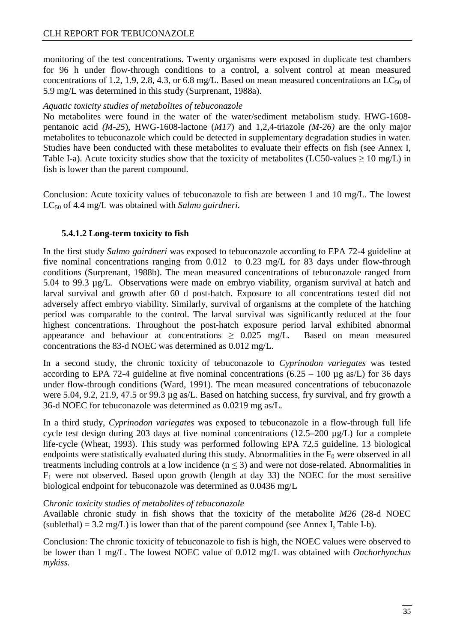monitoring of the test concentrations. Twenty organisms were exposed in duplicate test chambers for 96 h under flow-through conditions to a control, a solvent control at mean measured concentrations of 1.2, 1.9, 2.8, 4.3, or 6.8 mg/L. Based on mean measured concentrations an  $LC_{50}$  of 5.9 mg/L was determined in this study (Surprenant, 1988a).

#### *Aquatic toxicity studies of metabolites of tebuconazole*

No metabolites were found in the water of the water/sediment metabolism study. HWG-1608 pentanoic acid *(M-25*), HWG-1608-lactone (*M17*) and 1,2,4-triazole *(M-26)* are the only major metabolites to tebuconazole which could be detected in supplementary degradation studies in water. Studies have been conducted with these metabolites to evaluate their effects on fish (see Annex I, Table I-a). Acute toxicity studies show that the toxicity of metabolites (LC50-values  $\geq 10$  mg/L) in fish is lower than the parent compound.

Conclusion: Acute toxicity values of tebuconazole to fish are between 1 and 10 mg/L. The lowest LC<sub>50</sub> of 4.4 mg/L was obtained with *Salmo gairdneri*.

#### **5.4.1.2 Long-term toxicity to fish**

In the first study *Salmo gairdneri* was exposed to tebuconazole according to EPA 72-4 guideline at five nominal concentrations ranging from 0.012 to 0.23 mg/L for 83 days under flow-through conditions (Surprenant, 1988b). The mean measured concentrations of tebuconazole ranged from 5.04 to 99.3 µg/L. Observations were made on embryo viability, organism survival at hatch and larval survival and growth after 60 d post-hatch. Exposure to all concentrations tested did not adversely affect embryo viability. Similarly, survival of organisms at the complete of the hatching period was comparable to the control. The larval survival was significantly reduced at the four highest concentrations. Throughout the post-hatch exposure period larval exhibited abnormal appearance and behaviour at concentrations  $\geq 0.025$  mg/L. Based on mean measured concentrations the 83-d NOEC was determined as 0.012 mg/L.

In a second study, the chronic toxicity of tebuconazole to *Cyprinodon variegates* was tested according to EPA 72-4 guideline at five nominal concentrations  $(6.25 - 100 \text{ µg as/L})$  for 36 days under flow-through conditions (Ward, 1991). The mean measured concentrations of tebuconazole were 5.04, 9.2, 21.9, 47.5 or 99.3 µg as/L. Based on hatching success, fry survival, and fry growth a 36-d NOEC for tebuconazole was determined as 0.0219 mg as/L.

In a third study, *Cyprinodon variegates* was exposed to tebuconazole in a flow-through full life cycle test design during 203 days at five nominal concentrations (12.5–200 µg/L) for a complete life-cycle (Wheat, 1993). This study was performed following EPA 72.5 guideline. 13 biological endpoints were statistically evaluated during this study. Abnormalities in the  $F_0$  were observed in all treatments including controls at a low incidence ( $n \leq 3$ ) and were not dose-related. Abnormalities in  $F_1$  were not observed. Based upon growth (length at day 33) the NOEC for the most sensitive biological endpoint for tebuconazole was determined as 0.0436 mg/L

#### C*hronic toxicity studies of metabolites of tebuconazole*

Available chronic study in fish shows that the toxicity of the metabolite *M26* (28-d NOEC  $(sublethal) = 3.2 mg/L$ ) is lower than that of the parent compound (see Annex I, Table I-b).

Conclusion: The chronic toxicity of tebuconazole to fish is high, the NOEC values were observed to be lower than 1 mg/L. The lowest NOEC value of 0.012 mg/L was obtained with *Onchorhynchus mykiss.*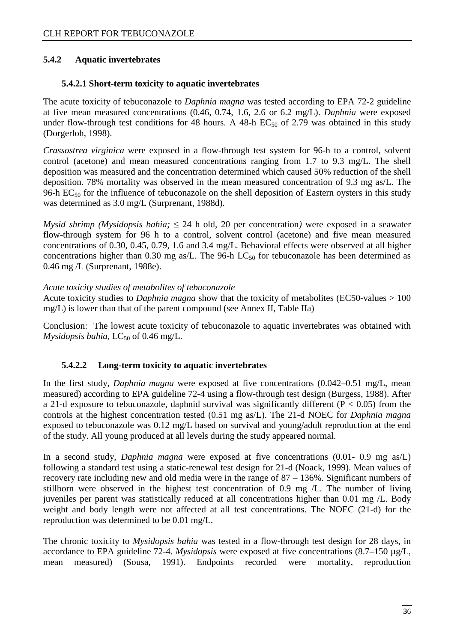#### **5.4.2 Aquatic invertebrates**

#### **5.4.2.1 Short-term toxicity to aquatic invertebrates**

The acute toxicity of tebuconazole to *Daphnia magna* was tested according to EPA 72-2 guideline at five mean measured concentrations (0.46, 0.74, 1.6, 2.6 or 6.2 mg/L). *Daphnia* were exposed under flow-through test conditions for 48 hours. A 48-h  $EC_{50}$  of 2.79 was obtained in this study (Dorgerloh, 1998).

*Crassostrea virginica* were exposed in a flow-through test system for 96-h to a control, solvent control (acetone) and mean measured concentrations ranging from 1.7 to 9.3 mg/L. The shell deposition was measured and the concentration determined which caused 50% reduction of the shell deposition. 78% mortality was observed in the mean measured concentration of 9.3 mg as/L. The 96-h  $EC_{50}$  for the influence of tebuconazole on the shell deposition of Eastern oysters in this study was determined as 3.0 mg/L (Surprenant, 1988d).

*Mysid shrimp (Mysidopsis bahia;* ≤ 24 h old, 20 per concentration*)* were exposed in a seawater flow-through system for 96 h to a control, solvent control (acetone) and five mean measured concentrations of 0.30, 0.45, 0.79, 1.6 and 3.4 mg/L. Behavioral effects were observed at all higher concentrations higher than 0.30 mg as/L. The 96-h  $LC_{50}$  for tebuconazole has been determined as 0.46 mg /L (Surprenant, 1988e).

#### *Acute toxicity studies of metabolites of tebuconazole*

Acute toxicity studies to *Daphnia magna* show that the toxicity of metabolites (EC50-values > 100 mg/L) is lower than that of the parent compound (see Annex II, Table IIa)

Conclusion: The lowest acute toxicity of tebuconazole to aquatic invertebrates was obtained with *Mysidopsis bahia,* LC<sub>50</sub> of 0.46 mg/L.

#### **5.4.2.2 Long-term toxicity to aquatic invertebrates**

In the first study, *Daphnia magna* were exposed at five concentrations (0.042–0.51 mg/L, mean measured) according to EPA guideline 72-4 using a flow-through test design (Burgess, 1988). After a 21-d exposure to tebuconazole, daphnid survival was significantly different ( $P < 0.05$ ) from the controls at the highest concentration tested (0.51 mg as/L). The 21-d NOEC for *Daphnia magna* exposed to tebuconazole was 0.12 mg/L based on survival and young/adult reproduction at the end of the study. All young produced at all levels during the study appeared normal.

In a second study, *Daphnia magna* were exposed at five concentrations (0.01- 0.9 mg as/L) following a standard test using a static-renewal test design for 21-d (Noack, 1999). Mean values of recovery rate including new and old media were in the range of 87 – 136%. Significant numbers of stillborn were observed in the highest test concentration of 0.9 mg /L. The number of living juveniles per parent was statistically reduced at all concentrations higher than 0.01 mg /L. Body weight and body length were not affected at all test concentrations. The NOEC (21-d) for the reproduction was determined to be 0.01 mg/L.

The chronic toxicity to *Mysidopsis bahia* was tested in a flow-through test design for 28 days, in accordance to EPA guideline 72-4. *Mysidopsis* were exposed at five concentrations (8.7–150 µg/L, mean measured) (Sousa, 1991). Endpoints recorded were mortality, reproduction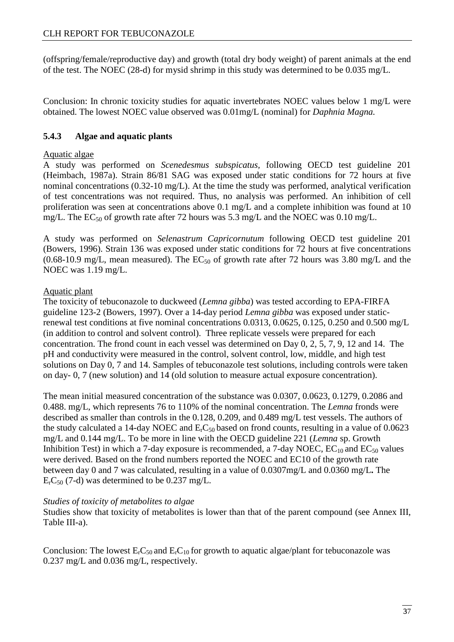(offspring/female/reproductive day) and growth (total dry body weight) of parent animals at the end of the test. The NOEC (28-d) for mysid shrimp in this study was determined to be 0.035 mg/L.

Conclusion: In chronic toxicity studies for aquatic invertebrates NOEC values below 1 mg/L were obtained. The lowest NOEC value observed was 0.01mg/L (nominal) for *Daphnia Magna.* 

#### **5.4.3 Algae and aquatic plants**

#### Aquatic algae

A study was performed on *Scenedesmus subspicatus,* following OECD test guideline 201 (Heimbach, 1987a). Strain 86/81 SAG was exposed under static conditions for 72 hours at five nominal concentrations (0.32-10 mg/L). At the time the study was performed, analytical verification of test concentrations was not required. Thus, no analysis was performed. An inhibition of cell proliferation was seen at concentrations above 0.1 mg/L and a complete inhibition was found at 10 mg/L. The  $EC_{50}$  of growth rate after 72 hours was 5.3 mg/L and the NOEC was 0.10 mg/L.

A study was performed on *Selenastrum Capricornutum* following OECD test guideline 201 (Bowers, 1996). Strain 136 was exposed under static conditions for 72 hours at five concentrations (0.68-10.9 mg/L, mean measured). The  $EC_{50}$  of growth rate after 72 hours was 3.80 mg/L and the NOEC was 1.19 mg/L.

#### Aquatic plant

The toxicity of tebuconazole to duckweed (*Lemna gibba*) was tested according to EPA-FIRFA guideline 123-2 (Bowers, 1997). Over a 14-day period *Lemna gibba* was exposed under staticrenewal test conditions at five nominal concentrations 0.0313, 0.0625, 0.125, 0.250 and 0.500 mg/L (in addition to control and solvent control). Three replicate vessels were prepared for each concentration. The frond count in each vessel was determined on Day 0, 2, 5, 7, 9, 12 and 14. The pH and conductivity were measured in the control, solvent control, low, middle, and high test solutions on Day 0, 7 and 14. Samples of tebuconazole test solutions, including controls were taken on day- 0, 7 (new solution) and 14 (old solution to measure actual exposure concentration).

The mean initial measured concentration of the substance was 0.0307, 0.0623, 0.1279, 0.2086 and 0.488. mg/L, which represents 76 to 110% of the nominal concentration. The *Lemna* fronds were described as smaller than controls in the 0.128, 0.209, and 0.489 mg/L test vessels. The authors of the study calculated a 14-day NOEC and  $E<sub>r</sub>C<sub>50</sub>$  based on frond counts, resulting in a value of 0.0623 mg/L and 0.144 mg/L. To be more in line with the OECD guideline 221 (*Lemna* sp. Growth Inhibition Test) in which a 7-day exposure is recommended, a 7-day NOEC,  $EC_{10}$  and  $EC_{50}$  values were derived. Based on the frond numbers reported the NOEC and EC10 of the growth rate between day 0 and 7 was calculated, resulting in a value of 0.0307mg/L and 0.0360 mg/L**.** The  $E<sub>r</sub>C<sub>50</sub>$  (7-d) was determined to be 0.237 mg/L.

#### *Studies of toxicity of metabolites to algae*

Studies show that toxicity of metabolites is lower than that of the parent compound (see Annex III, Table III-a).

Conclusion: The lowest  $E<sub>r</sub>C<sub>50</sub>$  and  $E<sub>r</sub>C<sub>10</sub>$  for growth to aquatic algae/plant for tebuconazole was 0.237 mg/L and 0.036 mg/L, respectively.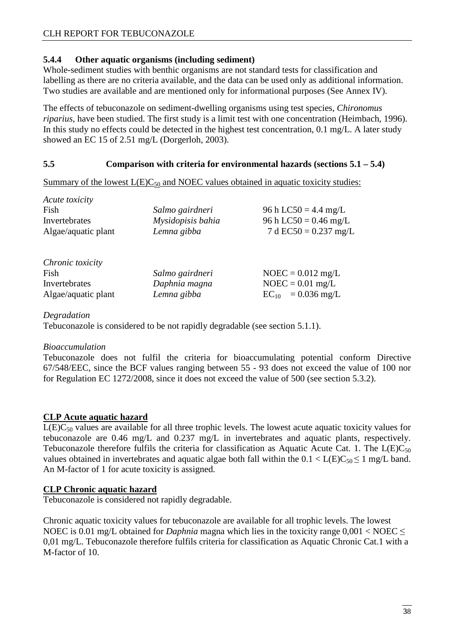#### **5.4.4 Other aquatic organisms (including sediment)**

Whole-sediment studies with benthic organisms are not standard tests for classification and labelling as there are no criteria available, and the data can be used only as additional information. Two studies are available and are mentioned only for informational purposes (See Annex IV).

The effects of tebuconazole on sediment-dwelling organisms using test species, *Chironomus riparius,* have been studied. The first study is a limit test with one concentration (Heimbach, 1996). In this study no effects could be detected in the highest test concentration, 0.1 mg/L. A later study showed an EC 15 of 2.51 mg/L (Dorgerloh, 2003).

#### **5.5 Comparison with criteria for environmental hazards (sections 5.1 – 5.4)**

Summary of the lowest  $L(E)C_{50}$  and NOEC values obtained in aquatic toxicity studies:

| Fish                | Salmo gairdneri   | 96 h LC50 = 4.4 mg/L    |
|---------------------|-------------------|-------------------------|
| Invertebrates       | Mysidopisis bahia | 96 h LC50 = $0.46$ mg/L |
| Algae/aquatic plant | Lemna gibba       | 7 d EC50 = $0.237$ mg/L |
| Chronic toxicity    |                   |                         |
| Fish                | Salmo gairdneri   | $NOEC = 0.012$ mg/L     |
| Invertebrates       | Daphnia magna     | $NOEC = 0.01$ mg/L      |
| Algae/aquatic plant | Lemna gibba       | $EC_{10} = 0.036$ mg/L  |

#### *Degradation*

*Acute toxicity* 

Tebuconazole is considered to be not rapidly degradable (see section 5.1.1).

#### *Bioaccumulation*

Tebuconazole does not fulfil the criteria for bioaccumulating potential conform Directive 67/548/EEC, since the BCF values ranging between 55 - 93 does not exceed the value of 100 nor for Regulation EC 1272/2008, since it does not exceed the value of 500 (see section 5.3.2).

#### **CLP Acute aquatic hazard**

 $L(E)C_{50}$  values are available for all three trophic levels. The lowest acute aquatic toxicity values for tebuconazole are 0.46 mg/L and 0.237 mg/L in invertebrates and aquatic plants, respectively. Tebuconazole therefore fulfils the criteria for classification as Aquatic Acute Cat. 1. The  $L(E)C_{50}$ values obtained in invertebrates and aquatic algae both fall within the  $0.1 < L(E)C_{50} \le 1$  mg/L band. An M-factor of 1 for acute toxicity is assigned.

#### **CLP Chronic aquatic hazard**

Tebuconazole is considered not rapidly degradable.

Chronic aquatic toxicity values for tebuconazole are available for all trophic levels. The lowest NOEC is 0.01 mg/L obtained for *Daphnia* magna which lies in the toxicity range  $0.001 < N$ OEC  $\leq$ 0,01 mg/L. Tebuconazole therefore fulfils criteria for classification as Aquatic Chronic Cat.1 with a M-factor of 10.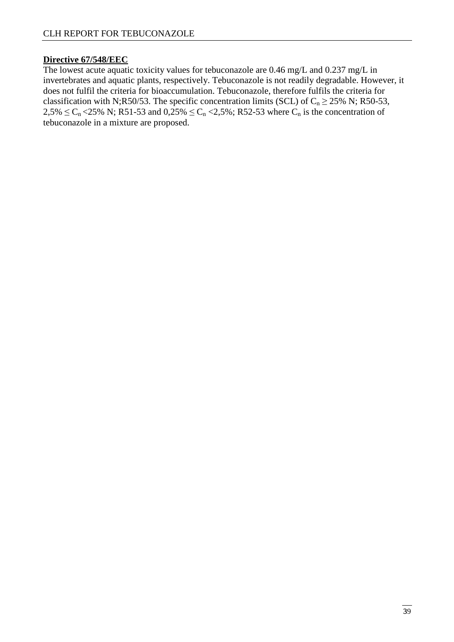#### **Directive 67/548/EEC**

The lowest acute aquatic toxicity values for tebuconazole are 0.46 mg/L and 0.237 mg/L in invertebrates and aquatic plants, respectively. Tebuconazole is not readily degradable. However, it does not fulfil the criteria for bioaccumulation. Tebuconazole, therefore fulfils the criteria for classification with N;R50/53. The specific concentration limits (SCL) of  $C_n \ge 25\%$  N; R50-53,  $2,5\% \le C_n < 25\%$  N; R51-53 and  $0,25\% \le C_n < 2,5\%$ ; R52-53 where  $C_n$  is the concentration of tebuconazole in a mixture are proposed.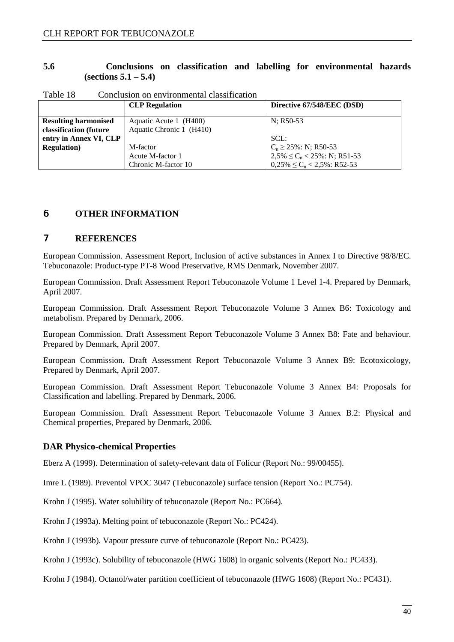#### **5.6 Conclusions on classification and labelling for environmental hazards (sections 5.1 – 5.4)**

|                             | <b>CLP</b> Regulation    | Directive 67/548/EEC (DSD)         |
|-----------------------------|--------------------------|------------------------------------|
| <b>Resulting harmonised</b> | Aquatic Acute 1 (H400)   | $N$ ; R50-53                       |
| classification (future      | Aquatic Chronic 1 (H410) |                                    |
| entry in Annex VI, CLP      |                          | SCL:                               |
| <b>Regulation</b> )         | M-factor                 | $C_n \ge 25\%$ : N; R50-53         |
|                             | Acute M-factor 1         | $2.5\% \le C_n < 25\%$ : N; R51-53 |
|                             | Chronic M-factor 10      | $0.25\% \le C_n < 2.5\%$ : R52-53  |

Table 18 Conclusion on environmental classification

#### 6 **OTHER INFORMATION**

#### 7 **REFERENCES**

European Commission. Assessment Report, Inclusion of active substances in Annex I to Directive 98/8/EC. Tebuconazole: Product-type PT-8 Wood Preservative, RMS Denmark, November 2007.

European Commission. Draft Assessment Report Tebuconazole Volume 1 Level 1-4. Prepared by Denmark, April 2007.

European Commission. Draft Assessment Report Tebuconazole Volume 3 Annex B6: Toxicology and metabolism. Prepared by Denmark, 2006.

European Commission. Draft Assessment Report Tebuconazole Volume 3 Annex B8: Fate and behaviour. Prepared by Denmark, April 2007.

European Commission. Draft Assessment Report Tebuconazole Volume 3 Annex B9: Ecotoxicology, Prepared by Denmark, April 2007.

European Commission. Draft Assessment Report Tebuconazole Volume 3 Annex B4: Proposals for Classification and labelling. Prepared by Denmark, 2006.

European Commission. Draft Assessment Report Tebuconazole Volume 3 Annex B.2: Physical and Chemical properties, Prepared by Denmark, 2006.

#### **DAR Physico-chemical Properties**

Eberz A (1999). Determination of safety-relevant data of Folicur (Report No.: 99/00455).

Imre L (1989). Preventol VPOC 3047 (Tebuconazole) surface tension (Report No.: PC754).

Krohn J (1995). Water solubility of tebuconazole (Report No.: PC664).

Krohn J (1993a). Melting point of tebuconazole (Report No.: PC424).

Krohn J (1993b). Vapour pressure curve of tebuconazole (Report No.: PC423).

Krohn J (1993c). Solubility of tebuconazole (HWG 1608) in organic solvents (Report No.: PC433).

Krohn J (1984). Octanol/water partition coefficient of tebuconazole (HWG 1608) (Report No.: PC431).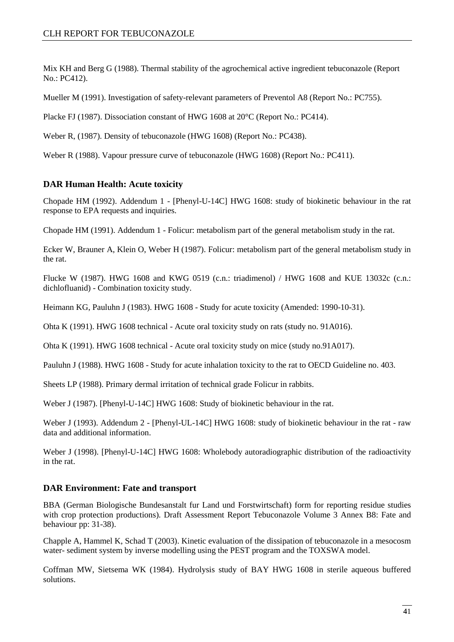Mix KH and Berg G (1988). Thermal stability of the agrochemical active ingredient tebuconazole (Report No.: PC412).

Mueller M (1991). Investigation of safety-relevant parameters of Preventol A8 (Report No.: PC755).

Placke FJ (1987). Dissociation constant of HWG 1608 at 20°C (Report No.: PC414).

Weber R, (1987). Density of tebuconazole (HWG 1608) (Report No.: PC438).

Weber R (1988). Vapour pressure curve of tebuconazole (HWG 1608) (Report No.: PC411).

#### **DAR Human Health: Acute toxicity**

Chopade HM (1992). Addendum 1 - [Phenyl-U-14C] HWG 1608: study of biokinetic behaviour in the rat response to EPA requests and inquiries.

Chopade HM (1991). Addendum 1 - Folicur: metabolism part of the general metabolism study in the rat.

Ecker W, Brauner A, Klein O, Weber H (1987). Folicur: metabolism part of the general metabolism study in the rat.

Flucke W (1987). HWG 1608 and KWG 0519 (c.n.: triadimenol) / HWG 1608 and KUE 13032c (c.n.: dichlofluanid) - Combination toxicity study.

Heimann KG, Pauluhn J (1983). HWG 1608 - Study for acute toxicity (Amended: 1990-10-31).

Ohta K (1991). HWG 1608 technical - Acute oral toxicity study on rats (study no. 91A016).

Ohta K (1991). HWG 1608 technical - Acute oral toxicity study on mice (study no.91A017).

Pauluhn J (1988). HWG 1608 - Study for acute inhalation toxicity to the rat to OECD Guideline no. 403.

Sheets LP (1988). Primary dermal irritation of technical grade Folicur in rabbits.

Weber J (1987). [Phenyl-U-14C] HWG 1608: Study of biokinetic behaviour in the rat.

Weber J (1993). Addendum 2 - [Phenyl-UL-14C] HWG 1608: study of biokinetic behaviour in the rat - raw data and additional information.

Weber J (1998). [Phenyl-U-14C] HWG 1608: Wholebody autoradiographic distribution of the radioactivity in the rat.

#### **DAR Environment: Fate and transport**

BBA (German Biologische Bundesanstalt fur Land und Forstwirtschaft) form for reporting residue studies with crop protection productions). Draft Assessment Report Tebuconazole Volume 3 Annex B8: Fate and behaviour pp: 31-38).

Chapple A, Hammel K, Schad T (2003). Kinetic evaluation of the dissipation of tebuconazole in a mesocosm water- sediment system by inverse modelling using the PEST program and the TOXSWA model.

Coffman MW, Sietsema WK (1984). Hydrolysis study of BAY HWG 1608 in sterile aqueous buffered solutions.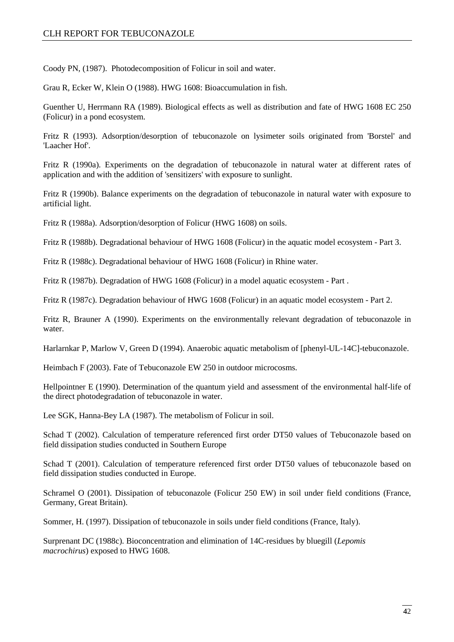Coody PN, (1987). Photodecomposition of Folicur in soil and water.

Grau R, Ecker W, Klein O (1988). HWG 1608: Bioaccumulation in fish.

Guenther U, Herrmann RA (1989). Biological effects as well as distribution and fate of HWG 1608 EC 250 (Folicur) in a pond ecosystem.

Fritz R (1993). Adsorption/desorption of tebuconazole on lysimeter soils originated from 'Borstel' and 'Laacher Hof'.

Fritz R (1990a). Experiments on the degradation of tebuconazole in natural water at different rates of application and with the addition of 'sensitizers' with exposure to sunlight.

Fritz R (1990b). Balance experiments on the degradation of tebuconazole in natural water with exposure to artificial light.

Fritz R (1988a). Adsorption/desorption of Folicur (HWG 1608) on soils.

Fritz R (1988b). Degradational behaviour of HWG 1608 (Folicur) in the aquatic model ecosystem - Part 3.

Fritz R (1988c). Degradational behaviour of HWG 1608 (Folicur) in Rhine water.

Fritz R (1987b). Degradation of HWG 1608 (Folicur) in a model aquatic ecosystem - Part .

Fritz R (1987c). Degradation behaviour of HWG 1608 (Folicur) in an aquatic model ecosystem - Part 2.

Fritz R, Brauner A (1990). Experiments on the environmentally relevant degradation of tebuconazole in water.

Harlarnkar P, Marlow V, Green D (1994). Anaerobic aquatic metabolism of [phenyl-UL-14C]-tebuconazole.

Heimbach F (2003). Fate of Tebuconazole EW 250 in outdoor microcosms.

Hellpointner E (1990). Determination of the quantum yield and assessment of the environmental half-life of the direct photodegradation of tebuconazole in water.

Lee SGK, Hanna-Bey LA (1987). The metabolism of Folicur in soil.

Schad T (2002). Calculation of temperature referenced first order DT50 values of Tebuconazole based on field dissipation studies conducted in Southern Europe

Schad T (2001). Calculation of temperature referenced first order DT50 values of tebuconazole based on field dissipation studies conducted in Europe.

Schramel O (2001). Dissipation of tebuconazole (Folicur 250 EW) in soil under field conditions (France, Germany, Great Britain).

Sommer, H. (1997). Dissipation of tebuconazole in soils under field conditions (France, Italy).

Surprenant DC (1988c). Bioconcentration and elimination of 14C-residues by bluegill (*Lepomis macrochirus*) exposed to HWG 1608.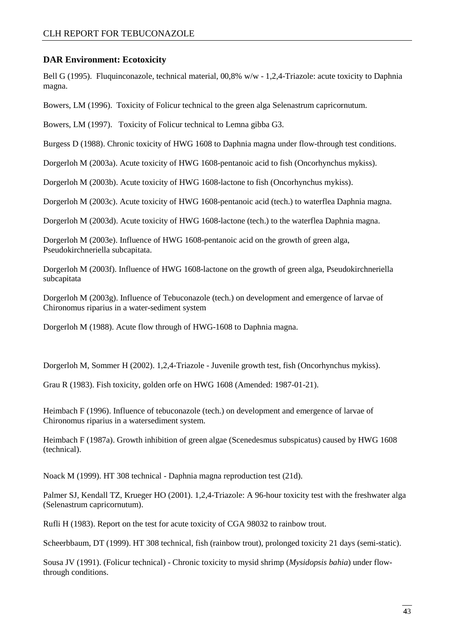#### **DAR Environment: Ecotoxicity**

Bell G (1995). Fluquinconazole, technical material, 00,8% w/w - 1,2,4-Triazole: acute toxicity to Daphnia magna.

Bowers, LM (1996). Toxicity of Folicur technical to the green alga Selenastrum capricornutum.

Bowers, LM (1997). Toxicity of Folicur technical to Lemna gibba G3.

Burgess D (1988). Chronic toxicity of HWG 1608 to Daphnia magna under flow-through test conditions.

Dorgerloh M (2003a). Acute toxicity of HWG 1608-pentanoic acid to fish (Oncorhynchus mykiss).

Dorgerloh M (2003b). Acute toxicity of HWG 1608-lactone to fish (Oncorhynchus mykiss).

Dorgerloh M (2003c). Acute toxicity of HWG 1608-pentanoic acid (tech.) to waterflea Daphnia magna.

Dorgerloh M (2003d). Acute toxicity of HWG 1608-lactone (tech.) to the waterflea Daphnia magna.

Dorgerloh M (2003e). Influence of HWG 1608-pentanoic acid on the growth of green alga, Pseudokirchneriella subcapitata.

Dorgerloh M (2003f). Influence of HWG 1608-lactone on the growth of green alga, Pseudokirchneriella subcapitata

Dorgerloh M (2003g). Influence of Tebuconazole (tech.) on development and emergence of larvae of Chironomus riparius in a water-sediment system

Dorgerloh M (1988). Acute flow through of HWG-1608 to Daphnia magna.

Dorgerloh M, Sommer H (2002). 1,2,4-Triazole - Juvenile growth test, fish (Oncorhynchus mykiss).

Grau R (1983). Fish toxicity, golden orfe on HWG 1608 (Amended: 1987-01-21).

Heimbach F (1996). Influence of tebuconazole (tech.) on development and emergence of larvae of Chironomus riparius in a watersediment system.

Heimbach F (1987a). Growth inhibition of green algae (Scenedesmus subspicatus) caused by HWG 1608 (technical).

Noack M (1999). HT 308 technical - Daphnia magna reproduction test (21d).

Palmer SJ, Kendall TZ, Krueger HO (2001). 1,2,4-Triazole: A 96-hour toxicity test with the freshwater alga (Selenastrum capricornutum).

Rufli H (1983). Report on the test for acute toxicity of CGA 98032 to rainbow trout.

Scheerbbaum, DT (1999). HT 308 technical, fish (rainbow trout), prolonged toxicity 21 days (semi-static).

Sousa JV (1991). (Folicur technical) - Chronic toxicity to mysid shrimp (*Mysidopsis bahia*) under flowthrough conditions.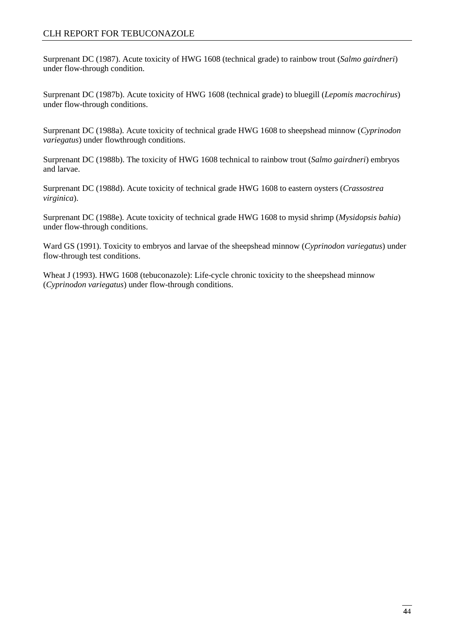Surprenant DC (1987). Acute toxicity of HWG 1608 (technical grade) to rainbow trout (*Salmo gairdneri*) under flow-through condition.

Surprenant DC (1987b). Acute toxicity of HWG 1608 (technical grade) to bluegill (*Lepomis macrochirus*) under flow-through conditions.

Surprenant DC (1988a). Acute toxicity of technical grade HWG 1608 to sheepshead minnow (*Cyprinodon variegatus*) under flowthrough conditions.

Surprenant DC (1988b). The toxicity of HWG 1608 technical to rainbow trout (*Salmo gairdneri*) embryos and larvae.

Surprenant DC (1988d). Acute toxicity of technical grade HWG 1608 to eastern oysters (*Crassostrea virginica*).

Surprenant DC (1988e). Acute toxicity of technical grade HWG 1608 to mysid shrimp (*Mysidopsis bahia*) under flow-through conditions.

Ward GS (1991). Toxicity to embryos and larvae of the sheepshead minnow (*Cyprinodon variegatus*) under flow-through test conditions.

Wheat J (1993). HWG 1608 (tebuconazole): Life-cycle chronic toxicity to the sheepshead minnow (*Cyprinodon variegatus*) under flow-through conditions.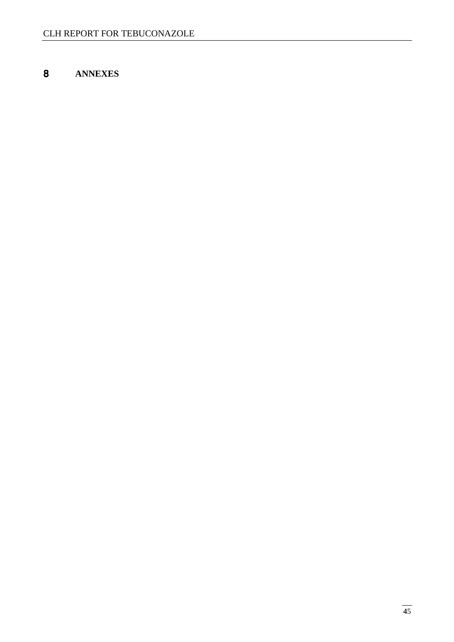### **ANNEXES**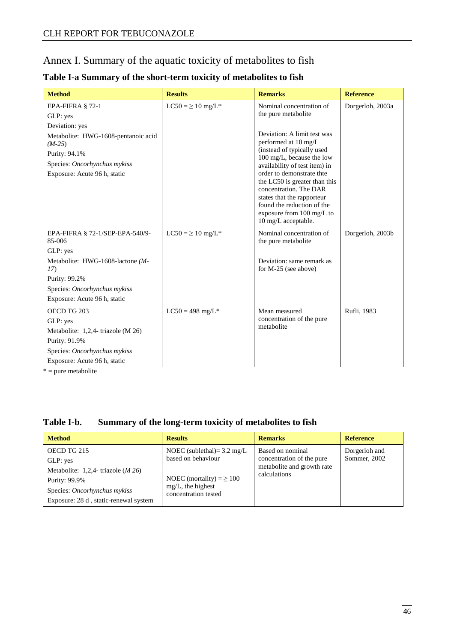### Annex I. Summary of the aquatic toxicity of metabolites to fish

| <b>Method</b>                                                                                                                    | <b>Results</b>        | <b>Remarks</b>                                                                                                                                                                                                                                                                                                                                          | <b>Reference</b> |
|----------------------------------------------------------------------------------------------------------------------------------|-----------------------|---------------------------------------------------------------------------------------------------------------------------------------------------------------------------------------------------------------------------------------------------------------------------------------------------------------------------------------------------------|------------------|
| EPA-FIFRA § 72-1<br>GLP: yes                                                                                                     | $LC50 = \ge 10$ mg/L* | Nominal concentration of<br>the pure metabolite                                                                                                                                                                                                                                                                                                         | Dorgerloh, 2003a |
| Deviation: yes                                                                                                                   |                       |                                                                                                                                                                                                                                                                                                                                                         |                  |
| Metabolite: HWG-1608-pentanoic acid<br>$(M-25)$<br>Purity: 94.1%<br>Species: Oncorhynchus mykiss<br>Exposure: Acute 96 h, static |                       | Deviation: A limit test was<br>performed at 10 mg/L<br>(instead of typically used<br>100 mg/L, because the low<br>availability of test item) in<br>order to demonstrate thte<br>the LC50 is greater than this<br>concentration. The DAR<br>states that the rapporteur<br>found the reduction of the<br>exposure from 100 mg/L to<br>10 mg/L acceptable. |                  |
| EPA-FIFRA § 72-1/SEP-EPA-540/9-<br>85-006                                                                                        | $LC50 = \ge 10$ mg/L* | Nominal concentration of<br>the pure metabolite                                                                                                                                                                                                                                                                                                         | Dorgerloh, 2003b |
| GLP: yes                                                                                                                         |                       |                                                                                                                                                                                                                                                                                                                                                         |                  |
| Metabolite: HWG-1608-lactone (M-<br>17)                                                                                          |                       | Deviation: same remark as<br>for $M-25$ (see above)                                                                                                                                                                                                                                                                                                     |                  |
| Purity: 99.2%                                                                                                                    |                       |                                                                                                                                                                                                                                                                                                                                                         |                  |
| Species: Oncorhynchus mykiss                                                                                                     |                       |                                                                                                                                                                                                                                                                                                                                                         |                  |
| Exposure: Acute 96 h, static                                                                                                     |                       |                                                                                                                                                                                                                                                                                                                                                         |                  |
| OECD TG 203                                                                                                                      | $LC50 = 498$ mg/L*    | Mean measured                                                                                                                                                                                                                                                                                                                                           | Rufli, 1983      |
| GLP: yes                                                                                                                         |                       | concentration of the pure                                                                                                                                                                                                                                                                                                                               |                  |
| Metabolite: 1,2,4- triazole (M 26)                                                                                               |                       | metabolite                                                                                                                                                                                                                                                                                                                                              |                  |
| Purity: 91.9%                                                                                                                    |                       |                                                                                                                                                                                                                                                                                                                                                         |                  |
| Species: Oncorhynchus mykiss                                                                                                     |                       |                                                                                                                                                                                                                                                                                                                                                         |                  |
| Exposure: Acute 96 h, static                                                                                                     |                       |                                                                                                                                                                                                                                                                                                                                                         |                  |

#### **Table I-a Summary of the short-term toxicity of metabolites to fish**

 $* = pure$  metabolite

#### **Table I-b. Summary of the long-term toxicity of metabolites to fish**

| <b>Method</b>                                                                                                                                             | <b>Results</b>                                                                                                                               | <b>Remarks</b>                                                                              | <b>Reference</b>              |
|-----------------------------------------------------------------------------------------------------------------------------------------------------------|----------------------------------------------------------------------------------------------------------------------------------------------|---------------------------------------------------------------------------------------------|-------------------------------|
| OECD TG 215<br>GLP: yes<br>Metabolite: 1,2,4- triazole $(M 26)$<br>Purity: 99.9%<br>Species: Oncorhynchus mykiss<br>Exposure: 28 d, static-renewal system | NOEC (sublethal) = $3.2 \text{ mg/L}$<br>based on behaviour<br>NOEC (mortality) = $\geq$ 100<br>$mg/L$ , the highest<br>concentration tested | Based on nominal<br>concentration of the pure<br>metabolite and growth rate<br>calculations | Dorgerloh and<br>Sommer, 2002 |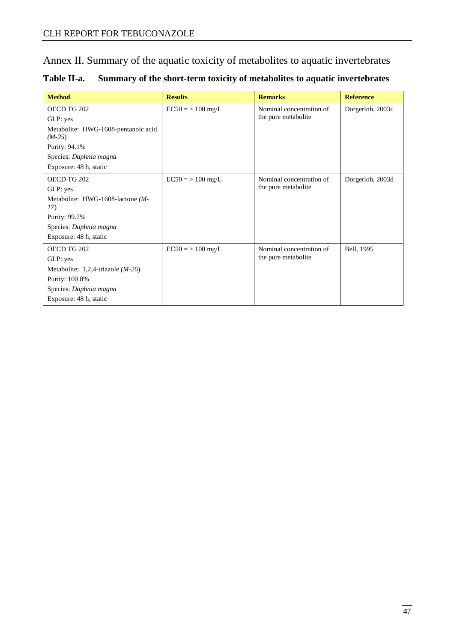Annex II. Summary of the aquatic toxicity of metabolites to aquatic invertebrates

| Table II-a. | Summary of the short-term toxicity of metabolites to aquatic invertebrates |  |  |
|-------------|----------------------------------------------------------------------------|--|--|
|-------------|----------------------------------------------------------------------------|--|--|

| <b>Method</b>                                   | <b>Results</b>      | <b>Remarks</b>           | <b>Reference</b> |
|-------------------------------------------------|---------------------|--------------------------|------------------|
| OECD TG 202                                     | $EC50 = > 100$ mg/L | Nominal concentration of | Dorgerloh, 2003c |
| GLP: yes                                        |                     | the pure metabolite      |                  |
| Metabolite: HWG-1608-pentanoic acid<br>$(M-25)$ |                     |                          |                  |
| Purity: 94.1%                                   |                     |                          |                  |
| Species: Daphnia magna                          |                     |                          |                  |
| Exposure: 48 h, static                          |                     |                          |                  |
| OECD TG 202                                     | $EC50 = > 100$ mg/L | Nominal concentration of | Dorgerloh, 2003d |
| GLP: yes                                        |                     | the pure metabolite      |                  |
| Metabolite: HWG-1608-lactone (M-<br>17)         |                     |                          |                  |
| Purity: 99.2%                                   |                     |                          |                  |
| Species: Daphnia magna                          |                     |                          |                  |
| Exposure: 48 h, static                          |                     |                          |                  |
| OECD TG 202                                     | $EC50 = > 100$ mg/L | Nominal concentration of | Bell, 1995       |
| GLP: yes                                        |                     | the pure metabolite      |                  |
| Metabolite: $1,2,4$ -triazole ( <i>M-26</i> )   |                     |                          |                  |
| Purity: 100.8%                                  |                     |                          |                  |
| Species: Daphnia magna                          |                     |                          |                  |
| Exposure: 48 h, static                          |                     |                          |                  |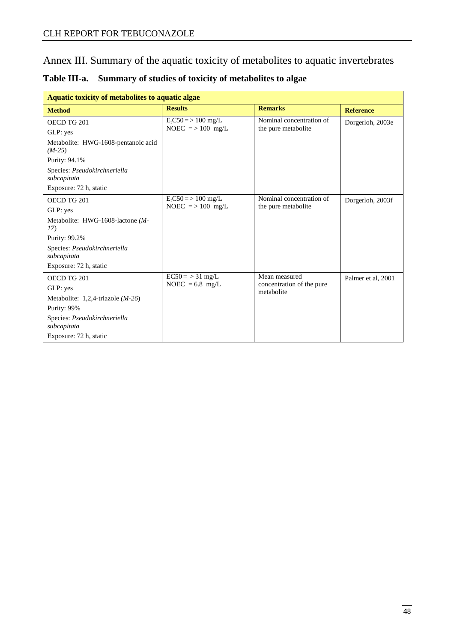Annex III. Summary of the aquatic toxicity of metabolites to aquatic invertebrates

| Aquatic toxicity of metabolites to aquatic algae |                           |                                         |                    |  |  |  |
|--------------------------------------------------|---------------------------|-----------------------------------------|--------------------|--|--|--|
| <b>Method</b>                                    | <b>Results</b>            | <b>Remarks</b>                          | <b>Reference</b>   |  |  |  |
| OECD TG 201                                      | $ErCS0 \approx 100$ mg/L  | Nominal concentration of                | Dorgerloh, 2003e   |  |  |  |
| GLP: yes                                         | NOEC $\approx$ > 100 mg/L | the pure metabolite                     |                    |  |  |  |
| Metabolite: HWG-1608-pentanoic acid<br>$(M-25)$  |                           |                                         |                    |  |  |  |
| Purity: 94.1%                                    |                           |                                         |                    |  |  |  |
| Species: Pseudokirchneriella<br>subcapitata      |                           |                                         |                    |  |  |  |
| Exposure: 72 h, static                           |                           |                                         |                    |  |  |  |
| OECD TG 201                                      | $E_r$ C50 = > 100 mg/L    | Nominal concentration of                | Dorgerloh, 2003f   |  |  |  |
| GLP: yes                                         | NOEC $\approx$ > 100 mg/L | the pure metabolite                     |                    |  |  |  |
| Metabolite: HWG-1608-lactone (M-<br>17)          |                           |                                         |                    |  |  |  |
| Purity: 99.2%                                    |                           |                                         |                    |  |  |  |
| Species: Pseudokirchneriella<br>subcapitata      |                           |                                         |                    |  |  |  |
| Exposure: 72 h, static                           |                           |                                         |                    |  |  |  |
| OECD TG 201                                      | $EC50 = 31$ mg/L          | Mean measured                           | Palmer et al, 2001 |  |  |  |
| GLP: yes                                         | NOEC = $6.8$ mg/L         | concentration of the pure<br>metabolite |                    |  |  |  |
| Metabolite: $1,2,4$ -triazole ( <i>M-26</i> )    |                           |                                         |                    |  |  |  |
| Purity: 99%                                      |                           |                                         |                    |  |  |  |
| Species: Pseudokirchneriella<br>subcapitata      |                           |                                         |                    |  |  |  |
| Exposure: 72 h, static                           |                           |                                         |                    |  |  |  |

**Table III-a. Summary of studies of toxicity of metabolites to algae**